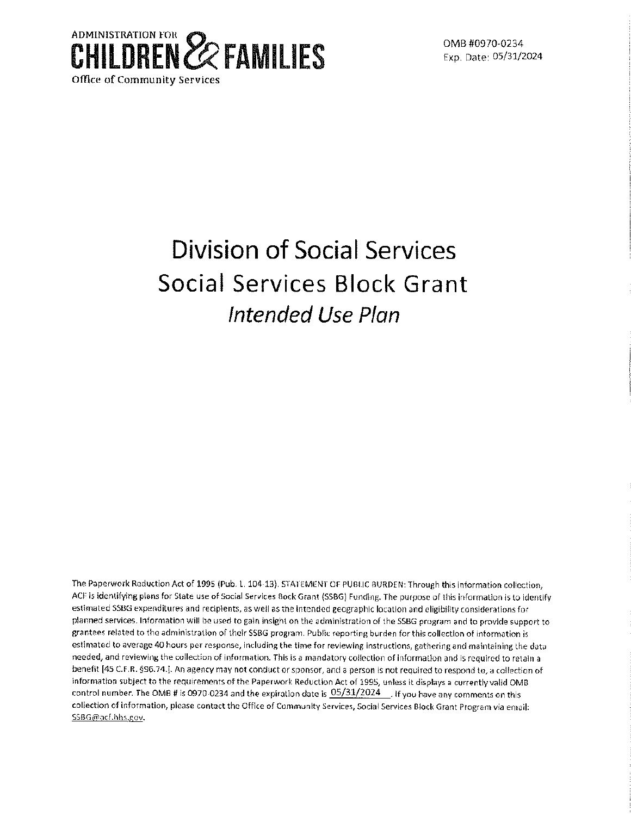

Exp. Date: 05/31/2024

# **Division of Social Services Social Services Block Grant Intended Use Plan**

The Paperwork Reduction Act of 1995 (Pub. l. 104-13). STATEMENT OF PUBLIC BURDEN: Through this information collection, ACF is identifying plans for State use of Social Services Bock Grant (SSBG) Funding. The purpose of this information is to identify estimated SSBG expenditures and recipients, as well as the intended geographic location and eligibility considerations for planned services. Information will be used to gain insight on the administration of the SSBG program and to provide support to grantees related to the administration of their SSBG program. Public reporting burden for this collection of information is estimated to average 40 hours per response, including the time for reviewing instructions, gathering and maintaining the data needed, and reviewing the collection of information, This is a mandatory collection of information and is required to retain a benefit [45 C.F.R. §96.74.]. An agency may not conduct or sponsor, and a person is not required to respond to, a collection of information subject to the requirements of the Paperwork Reduction Act of 1995, unless it displays a currently valid 0MB control number. The OMB # is 0970-0234 and the expiration date is  $0.05/31/2024$  . If you have any comments on this collection of information, please contact the Office of Community Services, Social Services Block Grant Program via email: SSBG@acf.hhs.gov.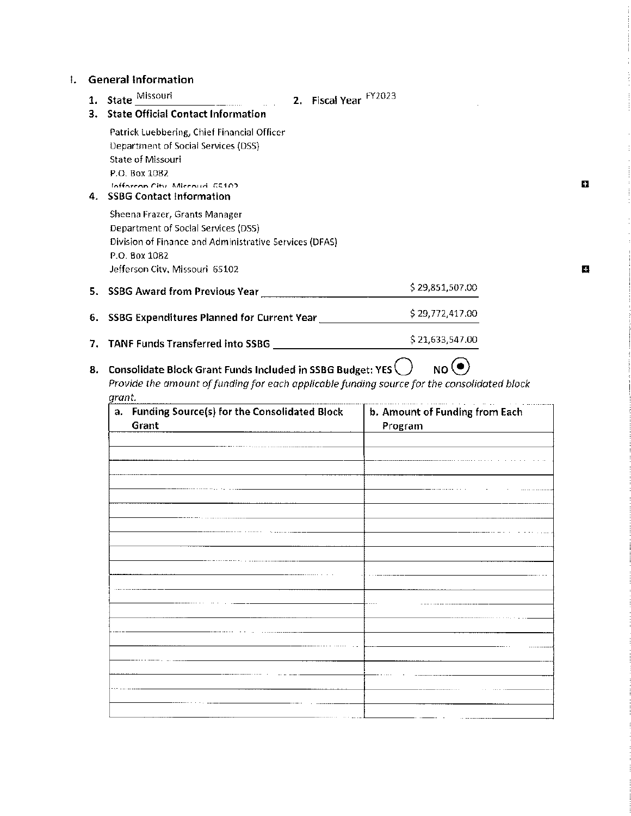## I. **General Information**

| State Missouri<br>2. Fiscal Year FY2023<br>1.                                                                                                                                                                     |                                           |
|-------------------------------------------------------------------------------------------------------------------------------------------------------------------------------------------------------------------|-------------------------------------------|
| 3. State Official Contact Information                                                                                                                                                                             |                                           |
| Patrick Luebbering, Chief Financial Officer<br><b>Department of Social Services (DSS)</b><br><b>State of Missouri</b><br>P.O. Box 1082<br>Infforcan City Miccouri, GS102<br><b>SSBG Contact Information</b><br>4. |                                           |
| Sheena Frazer, Grants Manager<br>Department of Social Services (DSS)<br>Division of Finance and Administrative Services (DFAS)<br>P.O. Box 1082<br>Jefferson City, Missouri 65102                                 |                                           |
| 5. SSBG Award from Previous Year                                                                                                                                                                                  | \$29,851,507.00                           |
| 6. SSBG Expenditures Planned for Current Year [1986]                                                                                                                                                              | \$29,772,417.00                           |
| 7.                                                                                                                                                                                                                | \$21,633,547.00                           |
| Consolidate Block Grant Funds Included in SSBG Budget: YES<br>8.<br>Provide the amount of funding for each applicable funding source for the consolidated block                                                   | NO <sup>(1</sup>                          |
| grant.<br>a. Funding Source(s) for the Consolidated Block<br>Grant                                                                                                                                                | b. Amount of Funding from Each<br>Program |
|                                                                                                                                                                                                                   |                                           |
|                                                                                                                                                                                                                   |                                           |
|                                                                                                                                                                                                                   |                                           |
|                                                                                                                                                                                                                   |                                           |
|                                                                                                                                                                                                                   |                                           |
|                                                                                                                                                                                                                   |                                           |
|                                                                                                                                                                                                                   |                                           |
|                                                                                                                                                                                                                   |                                           |

 $\pmb{\Omega}$ 

**D**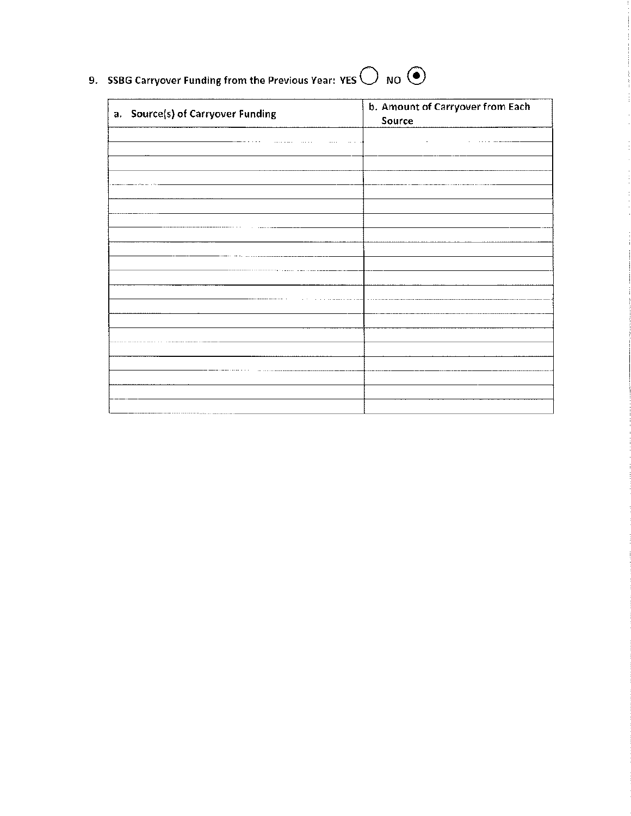9. SSBG Carryover Funding from the Previous Year: YES  $\bigcirc$  NO  $\odot$ 

| a. Source(s) of Carryover Funding | b. Amount of Carryover from Each<br>Source |
|-----------------------------------|--------------------------------------------|
|                                   |                                            |
|                                   |                                            |
|                                   |                                            |
|                                   |                                            |
|                                   |                                            |
|                                   |                                            |
|                                   |                                            |
|                                   |                                            |
|                                   |                                            |
|                                   |                                            |
|                                   |                                            |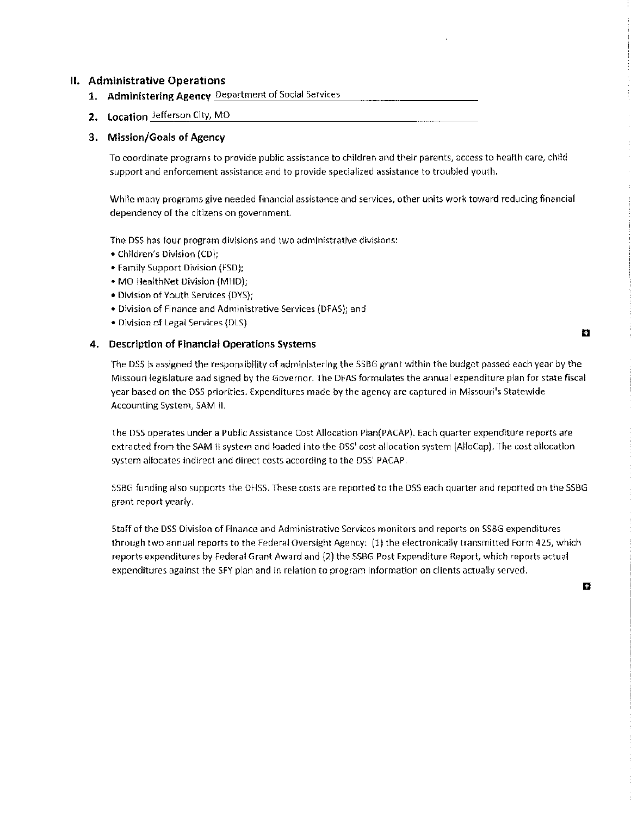#### **II. Administrative Operations**

- **1. Administering Agency** Department of Social Services
- **2. Location** Jefferson City, MO

#### **3. Mission/Goals of Agency**

To coordinate programs to provide public assistance to children and their parents, access to health care, child support and enforcement assistance and to provide specialized assistance to troubled youth.

While many programs give needed financial assistance and services, other units work toward reducing financial dependency of the citizens on government.

The DSS has four program divisions and two administrative divisions:

- Children's Division (CD);
- Family Support Division (FSD);
- MO HealthNet Division (MHD);
- Division of Youth Services (DYS);
- Division of Finance and Administrative Services (DFAS); and
- Division of Legal Services (DLS)

#### **4. Description of Financial Operations Systems**

The DSS is assigned the responsibility of administering the SSBG grant within the budget passed each year by the Missouri legislature and signed by the Governor. The DFAS formulates the annual expenditure plan for state fiscal year based on the DSS priorities. Expenditures made by the agency are captured in Missouri's Statewide Accounting System, SAM II.

The DSS operates under a Public Assistance Cost Allocation Plan(PACAP). Each quarter expenditure reports are extracted from the SAM II system and loaded into the DSS' cost allocation system (AlloCap). The cost allocation system allocates indirect and direct costs according to the DSS' PACAP.

SSBG funding also supports the DHSS. These costs are reported to the DSS each quarter and reported on the SSBG grant report yearly.

Staff of the DSS Division of Finance and Administrative Services monitors and reports on SSBG expenditures through two annual reports to the Federal Oversight Agency: (1) the electronically transmitted Form 425, which reports expenditures by Federal Grant Award and (2) the SSBG Post Expenditure Report, which reports actual expenditures against the SFY plan and in relation to program information on clients actually served.

D

E.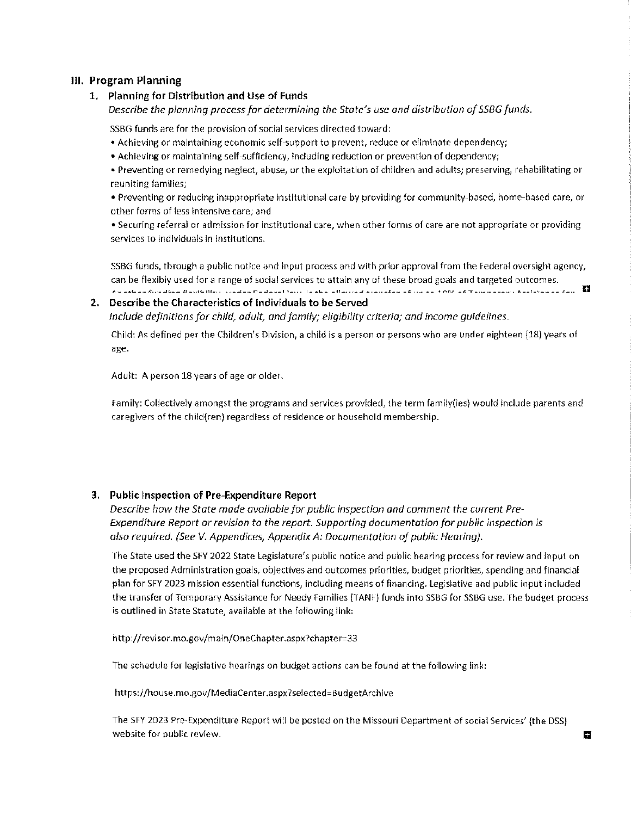#### **Ill. Program Planning**

#### **1. Planning for Distribution and Use of Funds**

*Describe the planning process for determining the State's use and distribution of SSBG funds.* 

SSBG funds are for the provision of social services directed toward:

- Achieving or maintaining economic self-support to prevent, reduce or eliminate dependency;
- **Achieving or maintaining self-sufficiency, including reduction or prevention of dependency;**
- Preventing or remedying neglect, abuse, or the exploitation of children and adults; preserving, rehabilitating or **reuniting families;**

• Preventing or reducing inappropriate institutional care by providing for community-based, home-based care, or **other forms of less intensive care; and** 

• Securing referral or admission for institutional care, when other forms of care are not appropriate or providing **services to individuals in institutions.** 

SSBG funds, through a public notice and input process and with prior approval from the Federal oversight agency, can be flexibly used for a range of social services to attain any of these broad goals and targeted outcomes.<br>An extensive discretion deviation conduction is the advertised and the service of the services and the service A washing distribution distribution in consistent Particular Party in Alam all account above also as a complete a finance above a distribution of Theorem above a d

#### **2. Describe the Characteristics of Individuals to be Served**

*Include definitions for child, adult, and family; eligibility criteria; and income guidelines.* 

Child: As defined per the Children's Division, a child is a person or persons who are under eighteen (18) years of **age.** 

Adult: A person 18 years of age or older.

Family: Collectively amongst the programs and services provided, the term family(ies) would include parents and caregivers of the child(ren) regardless of residence or household membership.

#### **3. Public Inspection of Pre-Expenditure Report**

*Describe how the State made available for public inspection and comment the current Pre-Expenditure Report or revision to the report. Supporting documentation for public inspection is also required. (See V. Appendices, Appendix A: Documentation of public Hearing).* 

The State used the SFY 2022 State Legislature's public notice and public hearing process for review and input on the proposed Administration goals, objectives and outcomes priorities, budget priorities, spending and financial plan for SFY 2023 mission essential functions, including means of financing. Legislative and public input included the transfer of Temporary Assistance for Needy Families (TANF) funds into SSBG for SSBG use. The budget process is outlined in State Statute, available at the following link:

http://revisor.mo.gov/main/OneChapter.aspx?chapter=33

The schedule for legislative hearings on budget actions can be found at the following link:

https://house.mo.gov/MediaCenter.aspx?selected=BudgetArchive

The SFY 2023 Pre-Expenditure Report will be posted on the Missouri Department of social Services' (the DSS) website for public review. **G**  $\blacksquare$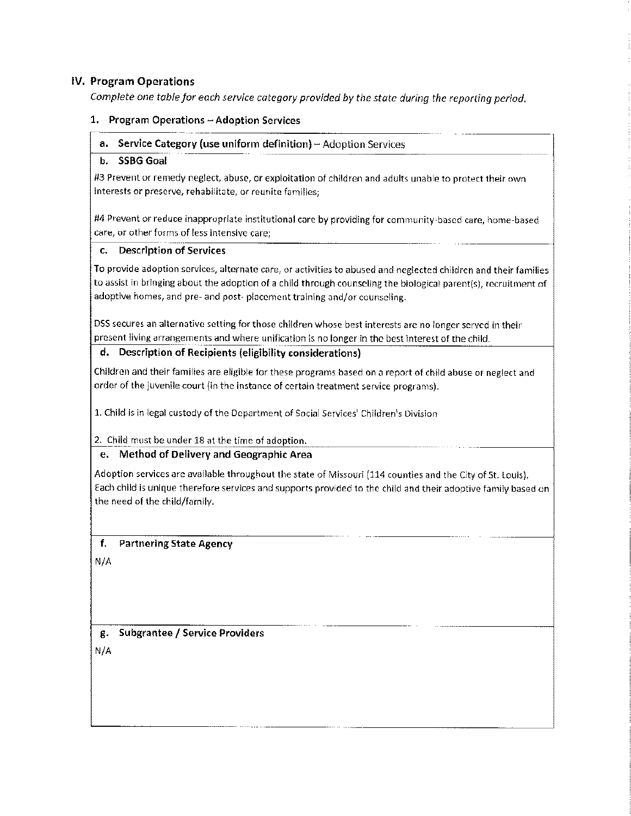#### **IV. Program Operations**

*Complete one table for each service category provided by the state during the reporting period.* 

#### **1. Program Operations - Adoption Services**

#### **a.** Service Category (use uniform definition) – Adoption Services

#### **b. SSBG Goal**

#3 Prevent or remedy neglect, abuse, or exploitation of children and adults unable to protect their own **interests or preserve, rehabilitate, or reunite families;** 

#4 Prevent or reduce inappropriate institutional care by providing for community-based care, home-based **care1 or other forms of less intensive care;** 

#### **c. Description of Services**

To provide adoption services, alternate care, or activities to abused and neglected children and their families to assist in bringing about the adoption of a child through counseling the biological parent(s), recruitment of adoptive homes, and pre- and post- placement training and/or counseling.

DSS secures an alternative setting for those children whose best interests are no longer served in their present living arrangements and where unification is no longer in the best interest of the child.

#### **d. Description of Recipients (eligibility considerations)**

Children and their families are eligible for these programs based on a report of child abuse or neglect and order of the juvenile court (in the instance of certain treatment service programs).

1. Child is in legal custody of the Department of Social Services' Children's Division

2. Child must be under 18 at the time of adoption.

#### **e. Method of Delivery and Geographic Area**

Adoption services are available throughout the state of Missouri (114 counties and the City of St. Louis). Each child is unique therefore services and supports provided to the child and their adoptive family based on the need of the child/family.

#### **f. Partnering State Agency**

N/A

**g. Subgrantee / Service Providers** 

N/A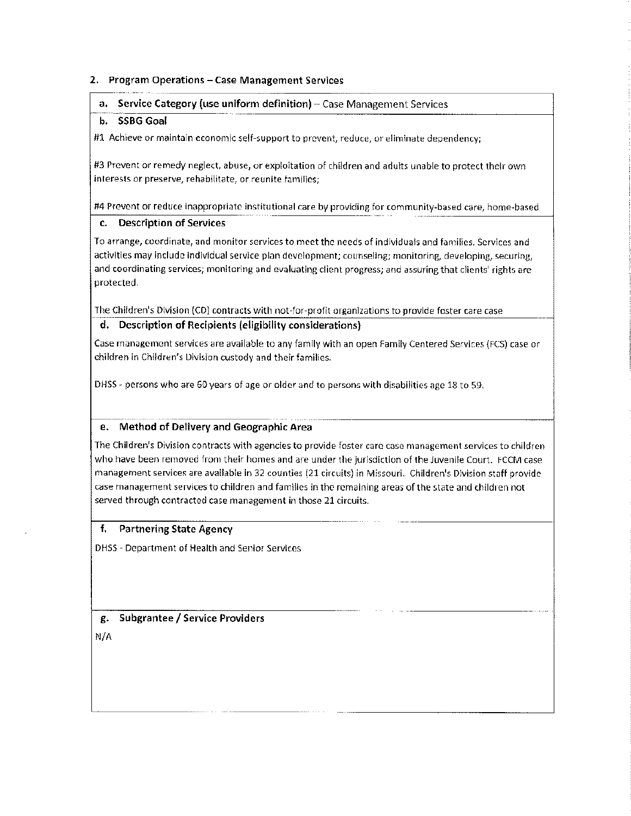#### **2. Program Operations** - **Case Management Services**

#### **a.** Service Category (use uniform definition) - Case Management Services

#### **b. SSBG Goal**

#1 Achieve or maintain economic self-support to prevent, reduce, or eliminate dependency;

#3 Prevent or remedy neglect, abuse, or exploitation of children and adults unable to protect their own interests or preserve, rehabilitate, or reunite families;

#4 Prevent or reduce inappropriate institutional care by providing for community-based care, home-based

#### **c. Description of Services**

To arrange, coordinate, and monitor services to meet the needs of individuals and families. Services and activities may include individual service plan development; counseling; monitoring, developing, securing, and coordinating services; monitoring and evaluating client progress; and assuring that clients' rights are protected.

The Children's Division (CD) contracts with not-for-profit organizations to provide foster care case

#### **d. Description of Recipients (eligibility considerations)**

Case management services are available to any family with an open Family Centered Services (FCS) case or children in Children's Division custody and their families.

DHSS - persons who are 60 years of age or older and to persons with disabilities age 18 to 59.

#### **e. Method of Delivery and Geographic Area**

The Children's Division contracts with agencies to provide foster care case management services to children who have been removed from their homes and are under the jurisdiction of the Juvenile Court. FCCM case management services are available in 32 counties (21 circuits) in Missouri. Children's Division staff provide case management services to children and families in the remaining areas of the state and children not served through contracted case management in those 21 circuits.

#### **f. Partnering State Agency**

DHSS - Department of Health and Senior Services

**g. Subgrantee** / **Service Providers**  N/A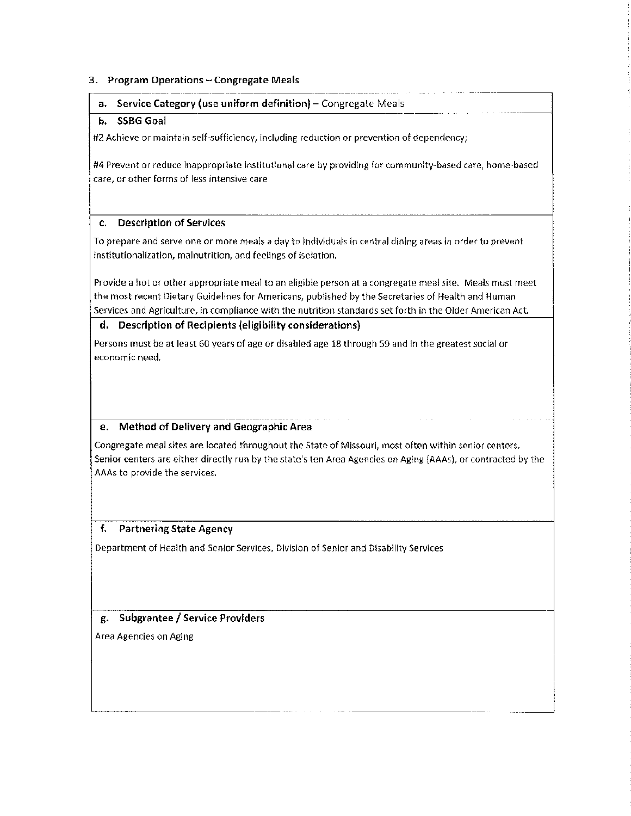#### **3. Program Operations** - **Congregate Meals**

#### **a. Service Category (use uniform definition)-** Congregate Meals

#### **b. SSBG Goal**

#2 Achieve or maintain self-sufficiency, including reduction or prevention of dependency;

#4 Prevent or reduce inappropriate institutional care by providing for community-based care, home-based **care, or other forms of less intensive care** 

#### **c. Description of Services**

To prepare and serve one or more meals a day to individuals in central dining areas in order to prevent institutionalization, malnutrition, and feelings of isolation.

Provide a hot or other appropriate meal to an eligible person at a congregate meal site. Meals must meet the most recent Dietary Guidelines for Americans, published by the Secretaries of Health and Human Services and Agriculture, in compliance with the nutrition standards set forth in the Older American Act.

#### **d. Description of Recipients (eligibility considerations)**

Persons must be at least 60 years of age or disabled age 18 through 59 and in the greatest social or **economic need.** 

#### **e. Method of Delivery and Geographic Area**

Congregate meal sites are located throughout the State of Missouri, most often within senior centers. Senior centers are either directly run by the state's ten Area Agencies on Aging (AAAs), or contracted by the AAAs to provide the services.

#### **f. Partnering State Agency**

Department of Health and Senior Services, Division of Senior and Disability Services

#### **g. Subgrantee** / **Service Providers**

Area Agencies on Aging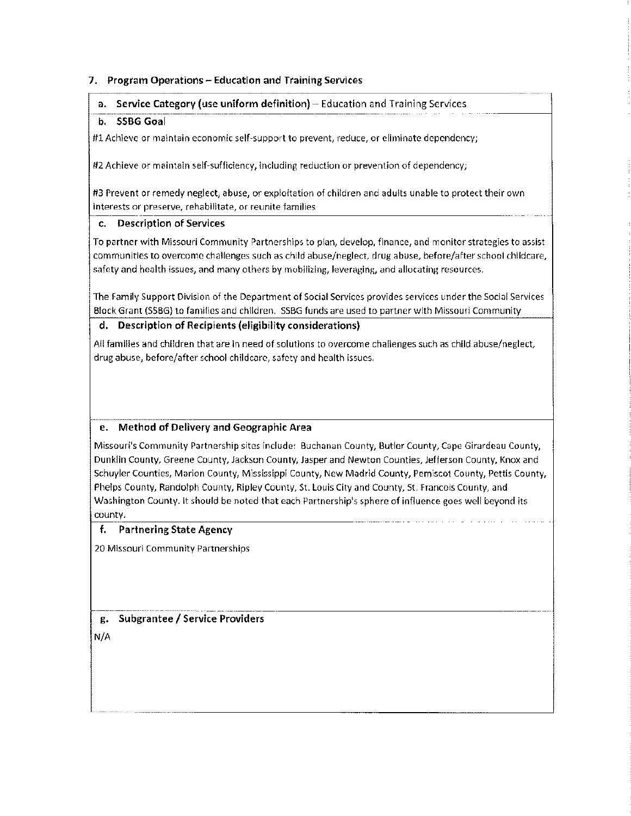#### **7. Program Operations - Education and Training Services**

#### **a. Service Category (use uniform definition)-** Education and Training Services

#### b. **SSBG Goal**

**#1 Achieve or maintain economic self-support to prevent <sup>1</sup>reduce, or eliminate dependency;** 

#2 Achieve or maintain self-sufficiency, including reduction or prevention of dependency;

#3 Prevent or remedy neglect, abuse, or exploitation of children and adults unable to protect their own **interests or preserve, rehabilitate, or reunite families** 

#### **c. Description of Services**

To partner with Missouri Community Partnerships to plan, develop, finance, and monitor strategies to assist communities to overcome challenges such as child abuse/neglect, drug abuse, before/after school childcare, safety and health issues, and many others by mobilizing, leveraging, and allocating resources.

The Family Support Division of the Department of Social Services provides services under the Social Services Block Grant (SSBG) to families and children. SSBG funds are used to partner with Missouri Community

#### **d. Description of Recipients (eligibility considerations)**

All families and children that are in need of solutions to overcome challenges such as child abuse/neglect, drug abuse, before/after school childcare, safety and health issues.

#### **e. Method of Delivery and Geographic Area**

Missouri's Community Partnership sites include: Buchanan County, Butler County, Cape Girardeau County, Dunklin County, Greene County, Jackson County, Jasper and Newton Counties, Jefferson County, Knox and Schuyler Counties, Marion County, Mississippi County, New Madrid County, Pemiscot County, Pettis County, Phelps County, Randolph County, Ripley County, St. Louis City and County, St. Francois County, and Washington County. It should be noted that each Partnership's sphere of influence goes well beyond its county.

#### **f. Partnering State Agency**

20 Missouri Community Partnerships

**g. Subgrantee / Service Providers**  N/A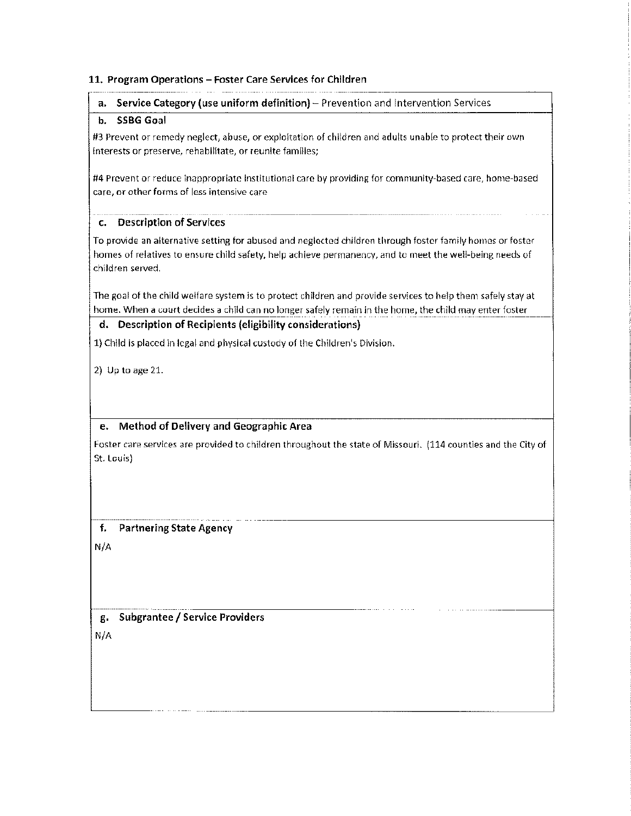#### **11. Program Operations** - **Foster Care Services for Children**

| Service Category (use uniform definition) - Prevention and Intervention Services<br>a.                                                                                                                                                                                              |
|-------------------------------------------------------------------------------------------------------------------------------------------------------------------------------------------------------------------------------------------------------------------------------------|
| <b>SSBG Goal</b><br>b.                                                                                                                                                                                                                                                              |
| #3 Prevent or remedy neglect, abuse, or exploitation of children and adults unable to protect their own<br>interests or preserve, rehabilitate, or reunite families;                                                                                                                |
| #4 Prevent or reduce inappropriate institutional care by providing for community-based care, home-based<br>care, or other forms of less intensive care                                                                                                                              |
| <b>Description of Services</b><br>c.                                                                                                                                                                                                                                                |
| To provide an alternative setting for abused and neglected children through foster family homes or foster<br>homes of relatives to ensure child safety, help achieve permanency, and to meet the well-being needs of<br>children served.                                            |
| The goal of the child welfare system is to protect children and provide services to help them safely stay at<br>home. When a court decides a child can no longer safely remain in the home, the child may enter foster<br>d. Description of Recipients (eligibility considerations) |
| 1) Child is placed in legal and physical custody of the Children's Division.                                                                                                                                                                                                        |
| 2) Up to age $21$ .                                                                                                                                                                                                                                                                 |
| Method of Delivery and Geographic Area<br>e.                                                                                                                                                                                                                                        |
| Foster care services are provided to children throughout the state of Missouri. (114 counties and the City of<br>St. Louis)                                                                                                                                                         |
|                                                                                                                                                                                                                                                                                     |
| f.<br><b>Partnering State Agency</b>                                                                                                                                                                                                                                                |
| N/A                                                                                                                                                                                                                                                                                 |
| <b>Subgrantee / Service Providers</b><br>д.<br>N/A                                                                                                                                                                                                                                  |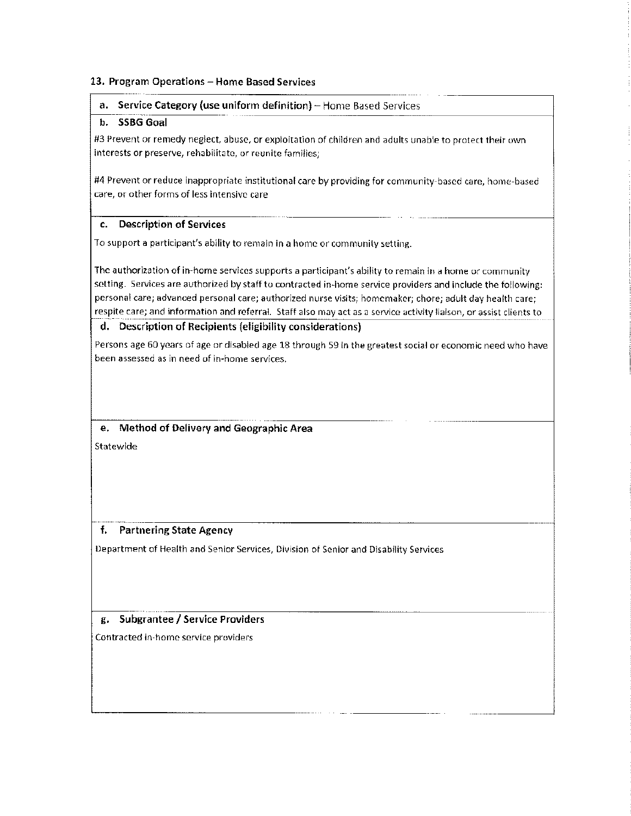#### 13. Program Operations - Home Based Services

#### **a.** Service Category (use uniform definition) - Home Based Services

#### **b. SSBG Goal**

#3 Prevent or remedy neglect, abuse, or exploitation of children and adults unable to protect their own **interests or preserve, rehabilitate, or reunite families;** 

#4 Prevent or reduce inappropriate institutional care by providing for community-based care, home-based **care, or other forms of less intensive care** 

#### **c. Description of Services**

To support a participant's ability to remain in a home or community setting.

**The authorization of in-home services supports a participant's ability to remain in a home or community**  setting. Services are authorized by staff to contracted in-home service providers and include the following: **personal care; advanced personal care; authorized nurse visits; homemaker; chore; adult day health care; respite care; and information and referral. Staff also may act as a service activity liaison, or assist clients to** 

#### **d. Description of Recipients (eligibility considerations)**

Persons age 60 years of age or disabled age 18 through 59 in the greatest social or economic need who have **been assessed as in need of in-home services.** 

**e. Method of Delivery and Geographic Area Statewide** 

#### **f. Partnering State Agency**

Department of Health and Senior Services, Division of Senior and Disability Services

#### **g. Subgrantee** / **Service Providers**

**Contracted in-home service providers**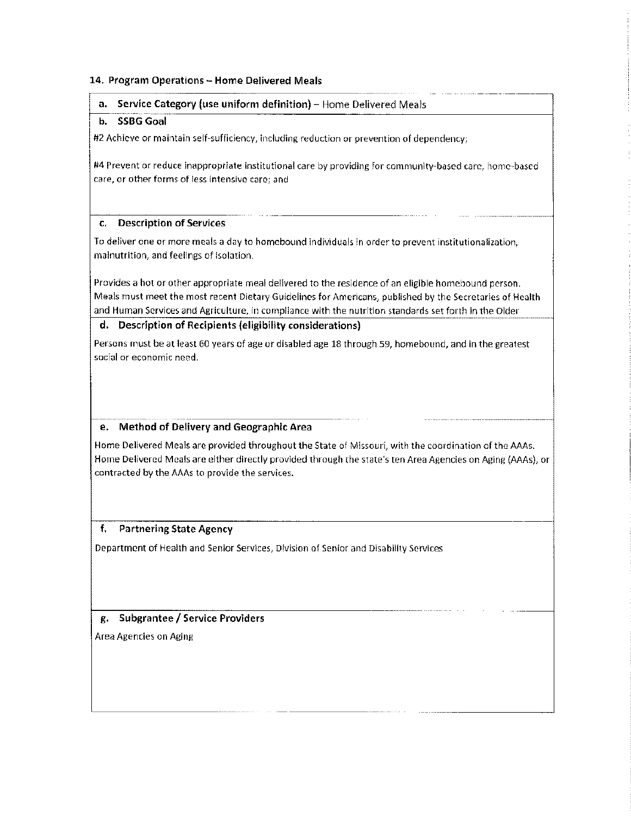#### **14. Program Operations - Home Delivered Meals**

#### **a.** Service Category (use uniform definition) - Home Delivered Meals

#### **b. SSBG Goal**

#2 Achieve or maintain self-sufficiency, including reduction or prevention of dependency;

#4 Prevent or reduce inappropriate institutional care by providing for community-based care, home-based **care, or other forms of less intensive care; and** 

#### **c. Description of Services**

To deliver one or more meals a day to homebound individuals in order to prevent institutionalization, malnutrition, and feelings of isolation.

Provides a hot or other appropriate meal delivered to the residence of an eligible homebound person. Meals must meet the most recent Dietary Guidelines for Americans, published by the Secretaries of Health and Human Services and Agriculture, in compliance with the nutrition standards set forth in the Older

#### **d. Description of Recipients (eligibility considerations)**

Persons must be at least 60 years of age or disabled age 18 through 59, homebound, and in the greatest **social or economic need.** 

#### **e. Method of Delivery and Geographic Area**

Home Delivered Meals are provided throughout the State of Missouri, with the coordination of the AAAs. Home Delivered Meals are either directly provided through the state's ten Area Agencies on Aging (AAAs), or contracted by the AAAs to provide the services.

#### **f. Partnering State Agency**

Department of Health and Senior Services, Division of Senior and Disability Services

#### **g, Subgrantee / Service Providers**

Area Agencies on Aging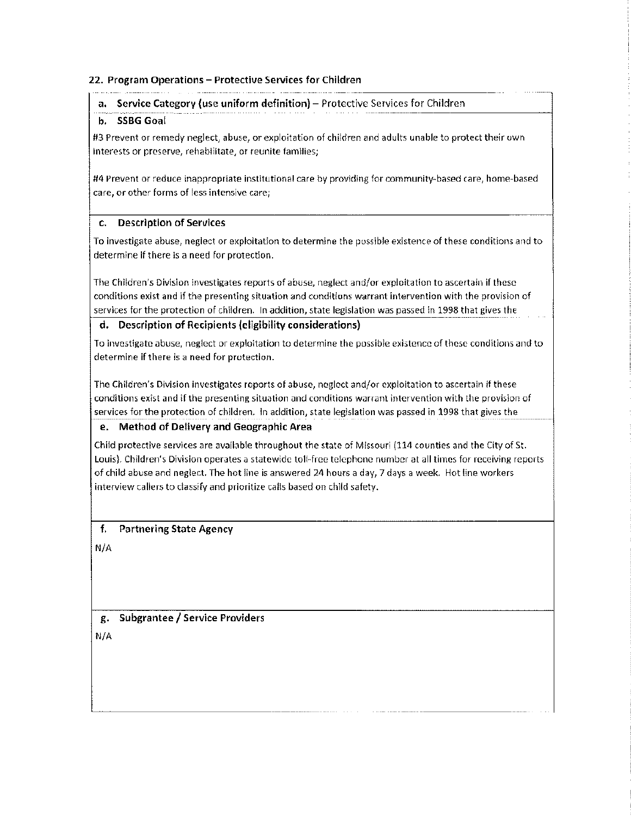#### **22,** Program Operations - Protective Services for Children

#### **a.** Service Category (use uniform definition) – Protective Services for Children

#### **b. SSBG Goal**

#3 Prevent or remedy neglect, abuse, or exploitation of children and adults unable to protect their own interests or preserve, rehabilitate, or reunite families;

#4 Prevent or reduce inappropriate institutional care by providing for community-based care, home-based care, or other forms of less intensive care;

#### **c. Description of Services**

To investigate abuse, neglect or exploitation to determine the possible existence of these conditions and to determine if there is a need for protection.

The Children's Division investigates reports of abuse, neglect and/or exploitation to ascertain if these conditions exist and if the presenting situation and conditions warrant intervention with the provision of services for the protection of children. In addition, state legislation was passed in 1998 that gives the

#### **d. Description of Recipients (eligibility considerations)**

To investigate abuse, neglect or exploitation to determine the possible existence of these conditions and to determine if there is a need for protection.

The Children's Division investigates reports of abuse, neglect and/or exploitation to ascertain if these conditions exist and if the presenting situation and conditions warrant intervention with the provision of services for the protection of children. In addition, state legislation was passed in 1998 that gives the

#### **e, Method of Delivery and Geographic Area**

Child protective services are available throughout the state of Missouri (114 counties and the City of St. Louis). Children's Division operates a statewide toll-free telephone number at all times for receiving reports of child abuse and neglect. The hot line is answered 24 hours a day, 7 days a week. Hot line workers interview callers to classify and prioritize calls based on child safety.

#### **f. Partnering State Agency**

N/A

**g. Subgrantee** / **Service Providers**  N/A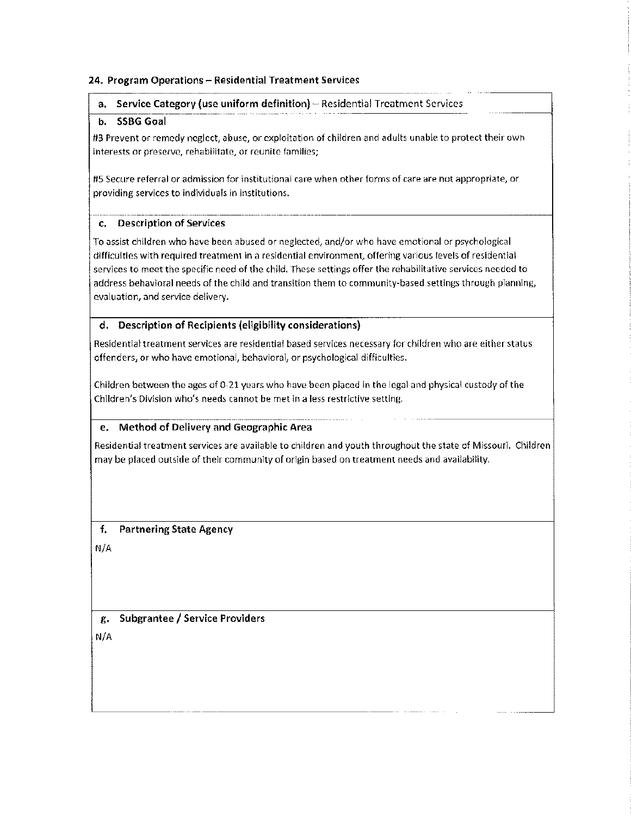#### **24. Program Operations** - **Residential Treatment Services**

#### **a. Service Category (use uniform definition)** - Residential Treatment Services

#### **b. SSBG Goal**

#3 Prevent or remedy neglect, abuse, or exploitation of children and adults unable to protect their own **interests or preserve, rehabilitate, or reunite families;** 

#5 Secure referral or admission for institutional care when other forms of care are not appropriate, or providing services to individuals in institutions.

#### **c. Description of Services**

To assist children who have been abused or neglected, and/or who have emotional or psychological difficulties with required treatment in a residential environment, offering various levels of residential services to meet the specific need of the child. These settings offer the rehabilitative services needed to address behavioral needs of the child and transition them to community-based settings through planning, **evaluation, and service delivery.** 

#### **d. Description of Recipients (eligibility considerations)**

Residential treatment services are residential based services necessary for children who are either status offenders, or who have emotional, behavioral, or psychological difficulties.

Children between the ages of 0-21 years who have been placed in the legal and physical custody of the **Children<sup>1</sup> s Division who's needs cannot be met in a less restrictive setting.** 

#### **e. Method of Delivery and Geographic Area**

Residential treatment services are available to children and youth throughout the state of Missouri. Children may be placed outside of their community of origin based on treatment needs and availability.

#### **f. Partnering State Agency**

N/A

**g. Subgrantee** / **Service Providers**  N/A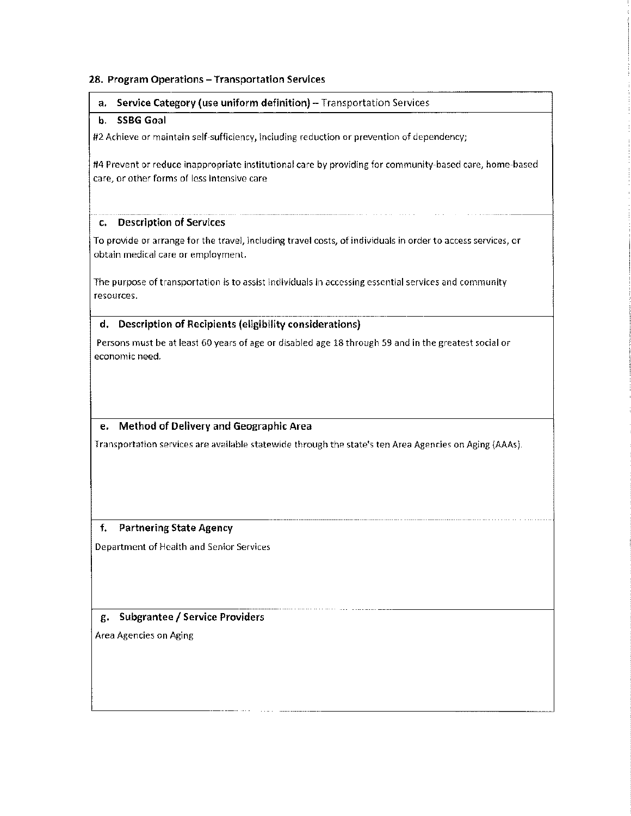#### **28, Program Operations** - **Transportation Services**

#### **a.** Service Category (use uniform definition) - Transportation Services

#### **b. SSBG Goal**

#2 Achieve or maintain self-sufficiency, including reduction or prevention of dependency;

#4 Prevent or reduce inappropriate institutional care by providing for community-based care, home-based **care, or other forms of less intensive care** 

#### **C, Description of Services**

To provide or arrange for the travel, including travel costs, of individuals in order to access services, or obtain medical care or employment.

The purpose of transportation is to assist individuals in accessing essential services and community **resources.** 

#### **d, Description of Recipients (eligibility considerations)**

Persons must be at least 60 years of age or disabled age 18 through 59 and in the greatest social or **economic need.** 

#### **e, Method of Delivery and Geographic Area**

Transportation services are available statewide through the state's ten Area Agencies on Aging (AAAs).

#### **f. Partnering State Agency**

Department of Health and Senior Services

#### **g, Subgrantee** / **Service Providers**

Area Agencies on Aging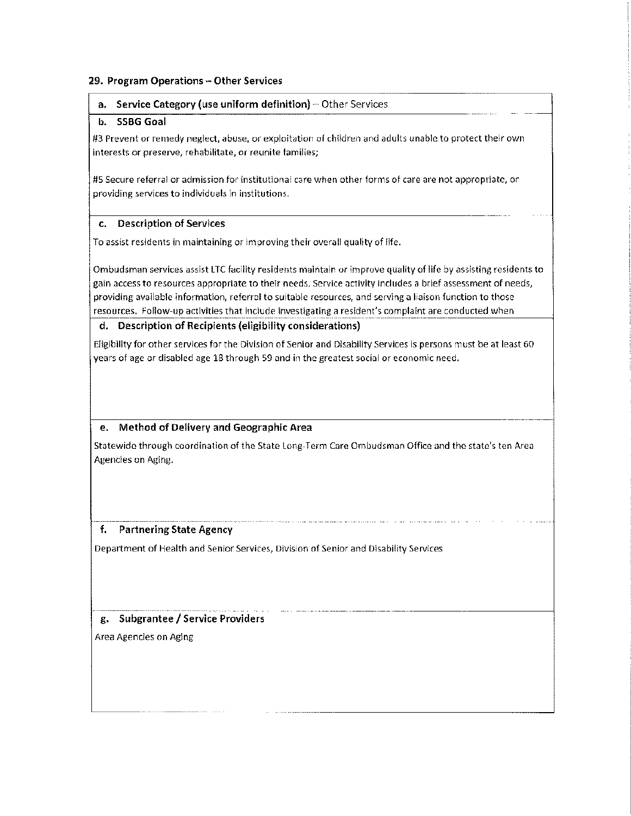#### **29. Program Operations** - **Other Services**

#### **a.** Service Category (use uniform definition) – Other Services

#### **b. SSBG Goal**

#3 Prevent or remedy neglect, abuse, or exploitation of children and adults unable to protect their own **interests or preserve, rehabilitate, or reunite families;** 

**#5 Secure referral or admission for institutional care when other forms of care are not appropriate, or**  providing services to individuals in institutions,

#### **c. Description of Services**

To assist residents in maintaining or improving their overall quality of life.

Ombudsman services assist LTC facility residents maintain or improve quality of life by assisting residents to **gain access to resources appropriate to their needs. Service activity includes a brief assessment of needs, providing available information, referral to suitable resources, and serving a liaison function to those**  resources, Follow-up activities that include investigating a resident's complaint are conducted when

#### **d. Description of Recipients (eligibility considerations)**

Eligibility for other services for the Division of Senior and Disability Services is persons must be at least 60 years of age or disabled age 18 through 59 and in the greatest social or economic need.

#### **e. Method of Delivery and Geographic Area**

Statewide through coordination of the State Long-Term Care Ombudsman Office and the state's ten Area Agencies on Aging.

#### **f. Partnering State Agency**

Department of Health and Senior Services, Division of Senior and Disability Services

#### **g. Subgrantee** / **Service Providers**

Area Agencies on Aging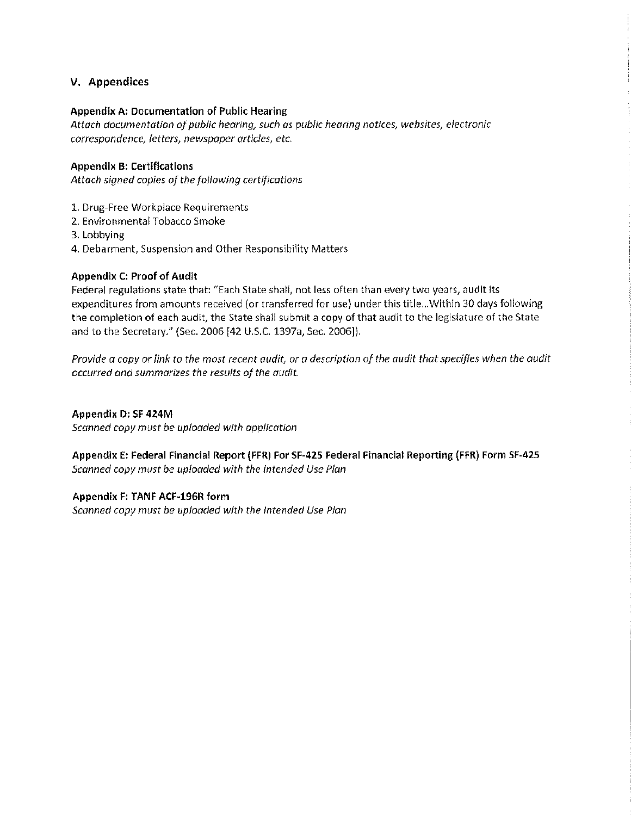#### **V. Appendices**

#### **Appendix A: Documentation of Public Hearing**

*Attach documentation of public hearing, such as public hearing notices, websites, electronic correspondence, letters, newspaper articles, etc.* 

#### **Appendix B: Certifications**

*Attach signed copies of the following certifications* 

- 1. Drug-Free Workplace Requirements
- 2. Environmental Tobacco Smoke
- 3. Lobbying
- **4.** Debarment, Suspension and Other Responsibility Matters

#### **Appendix C: Proof of Audit**

Federal regulations state that: "Each State shall, not less often than every two years, audit its expenditures from amounts received (or transferred for use) under this title ... Within 30 days following the completion of each audit, the State shall submit a copy of that audit to the legislature of the State and to the Secretary." (Sec. 2006 [42 U.S.C. 1397a, Sec. 2006]).

*Provide a copy or link to the most recent audit, or a description of the audit that specifies when the audit occurred and summarizes the results of the audit.* 

**Appendix D: SF 424M**  *Scanned copy must be uploaded with application* 

**Appendix E: Federal Financial Report (FFR) For SF-42S Federal Financial Reporting (FFR) Form SF-425**  *Scanned copy must be uploaded with the Intended Use Plan* 

**Appendix F: TANF ACF-196R form**  *Scanned copy must be uploaded with the Intended Use Plan*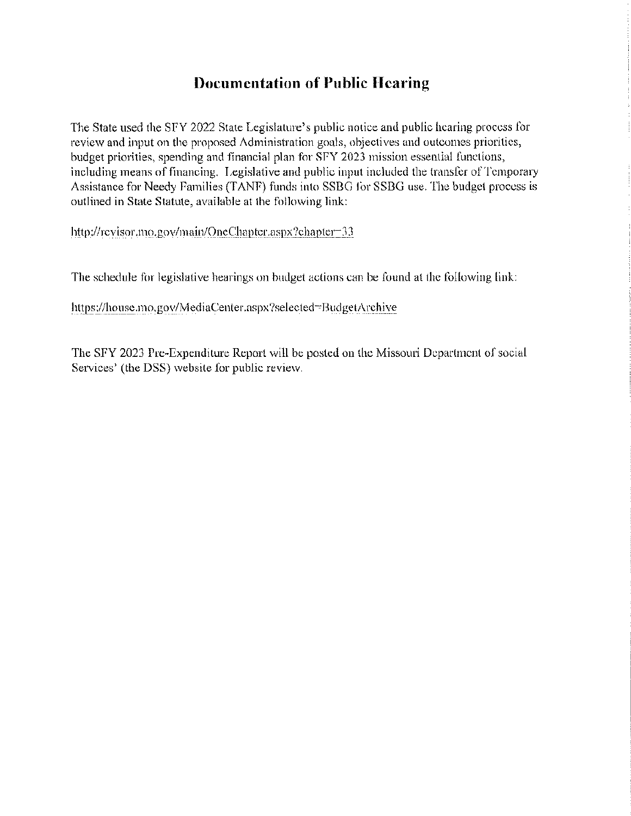## **Documentation of Public Hearing**

The State used the SFY 2022 State Legislature's public notice and public hearing process for review and input on the proposed Administration goals, objectives and outcomes priorities, budget priorities, spending and financial plan for SFY 2023 mission essential functions, including means of financing. Legislative and public input included the transfer of Temporary Assistance for Needy Families (TANF) funds into SSBG for SSBG use. The budget process is outlined in State Statute, available at the following link:

http://revisor.mo.gov/main/OneChapter.aspx?cbapter=33

The schedule for legislative hearings on budget actions can be found at the following link:

https://house.mo.gov/MediaCenter.aspx?selected=BudgetArchive

The SFY 2023 Pre-Expenditure Report will be posted on the Missouri Department of social Services' (the DSS) website for public review.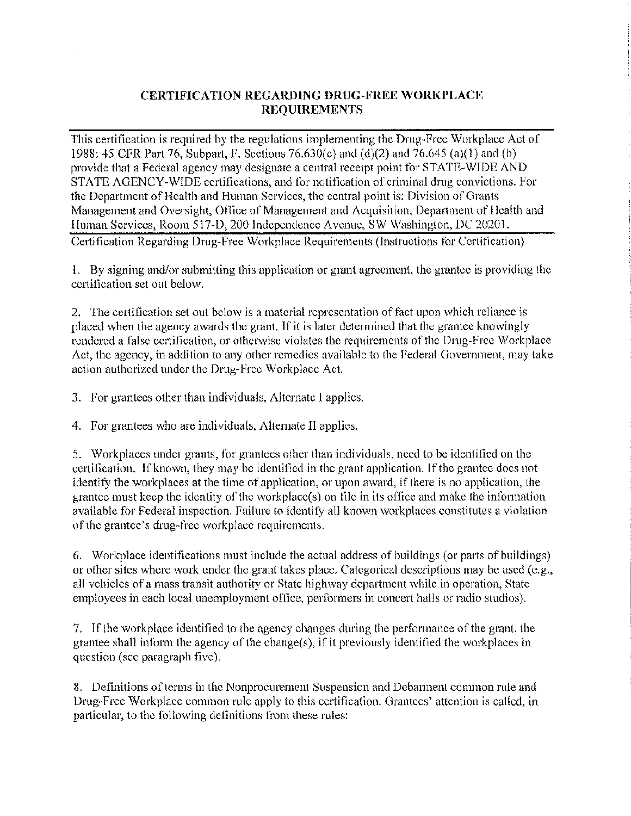#### **CERTIFICATION REGARDING DRUG-FREE WORKPLACE REQUIREMENTS**

This certification is required by the regulations implementing the Drug-Free Workplace Act of 1988: 45 CFR Part 76, Subpart, F. Sections 76.630(c) and (d)(2) and 76.645 (a)(l) and (b) provide that a Federal agency may designate a central receipt point for STATE-WIDE AND STATE AGENCY-WIDE certifications, and for notification of criminal drug convictions. For the Department of Health and Human Services, the central point is: Division of Grants Management and Oversight, Office of Management and Acquisition, Department of Health and Human Services, Room 517-D, 200 Independence Avenue, SW Washington, DC 20201. Certification Regarding Drug-Free Workplace Requirements (Instructions for Certification)

1. By signing and/or submitting this application or grant agreement, the grantee is providing the certification set out below.

2. The certification set out below is a material representation of fact upon which reliance is placed when the agency awards the grant. If it is later determined that the grantee knowingly rendered a false certification, or otherwise violates the requirements of the Drug-Free Workplace Act, the agency, in addition to any other remedies available to the Federal Government, may take action authorized under the Drug-Free Workplace Act.

3. For grantees other than individuals, Alternate I applies.

4. For grantees who are individuals, Alternate II applies.

5. Workplaces under grants, for grantees other than individuals, need to be identified on the certification. If known, they may be identified in the grant application. If the grantee does not identify the workplaces at the time of application, or upon award, if there is no application, the grantee must keep the identity of the workplace(s) on file in its office and make the information available for Federal inspection. Failure to identify all known workplaces constitutes a violation of the grantee's drug-free workplace requirements.

6. Workplace identifications must include the actual address of buildings (or parts of buildings) or other sites where work under the grant takes place. Categorical descriptions may be used (e.g., all vehicles of a mass transit authority or State highway department while in operation, State employees in each local unemployment office, performers in concert halls or radio studios).

7. If the workplace identified to the agency changes during the performance of the grant, the grantee shall inform the agency of the change(s), if it previously identified the workplaces in question (see paragraph five).

8. Definitions of tenns in the Nonprocurement Suspension and Debarment common rule and Drug-Free Workplace common rule apply to this certification. Grantees' attention is called, in particular, to the following definitions from these rules: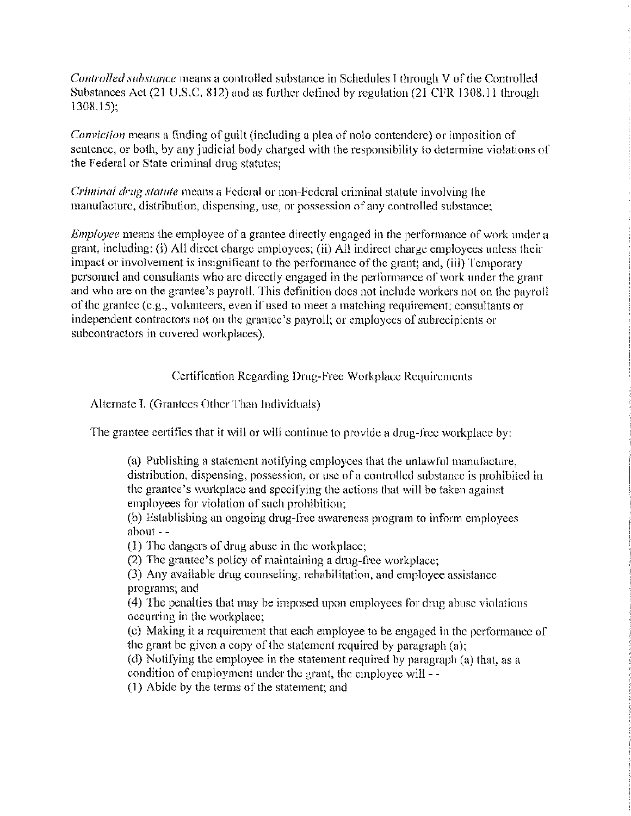*Controlled substance* means a controlled substance in Schedules I through V of the Controlled Substances Act (21 U.S.C. 812) and as further defined by regulation (21 CFR 1308.11 through 1308,15);

*Conviction* means a finding of guilt (including a plea of nolo contendere) or imposition of sentence, or both, by any judicial body charged with the responsibility to determine violations of the Federal or State criminal drug statutes;

*Criminal drug statute* means a Federal or non-Federal criminal statute involving the manufacture, distribution, dispensing, use, or possession of any controlled substance;

*Employee* means the employee of a grantee directly engaged in the performance of work under a grant, including: (i) All direct charge employees; (ii) All indirect charge employees unless their impact or involvement is insignificant to the performance of the grant; and, (iii) Temporary personnel and consultants who are directly engaged in the performance of work under the grant and who are on the grantee's payroll. This definition does not include workers not on the payroll of the grantee (e.g., volunteers, even if used to meet a matching requirement; consultants or independent contractors not on the grantee's payroll; or employees of subrecipients or subcontractors in covered workplaces).

Certification Regarding Drug-Free Workplace Requirements

Alternate I. (Grantees Other Than Individuals)

The grantee certifies that it will or will continue to provide a drug-free workplace by:

(a) Publishing a statement notifying employees that the unlawful manufacture, distribution, dispensing, possession, or use of a controlled substance is prohibited in the grantee's workplace and specifying the actions that will be taken against employees for violation of such prohibition;

(b) Establishing an ongoing drug-free awareness program to inform employees about - -

(1) The dangers of drng abuse in the workplace;

(2) The grantee's policy of maintaining a drug-free workplace;

(3) Any available drng counseling, rehabilitation, and employee assistance programs; and

( 4) The penalties that may be imposed upon employees for drng abuse violations occurring in the workplace;

( c) Making it a requirement that each employee to be engaged in the performance of the grant be given a copy of the statement required by paragraph (a);

(d) Notifying the employee in the statement required by paragraph (a) that, as a condition of employment under the grant, the employee will - -

(1) Abide by the terms of the statement; and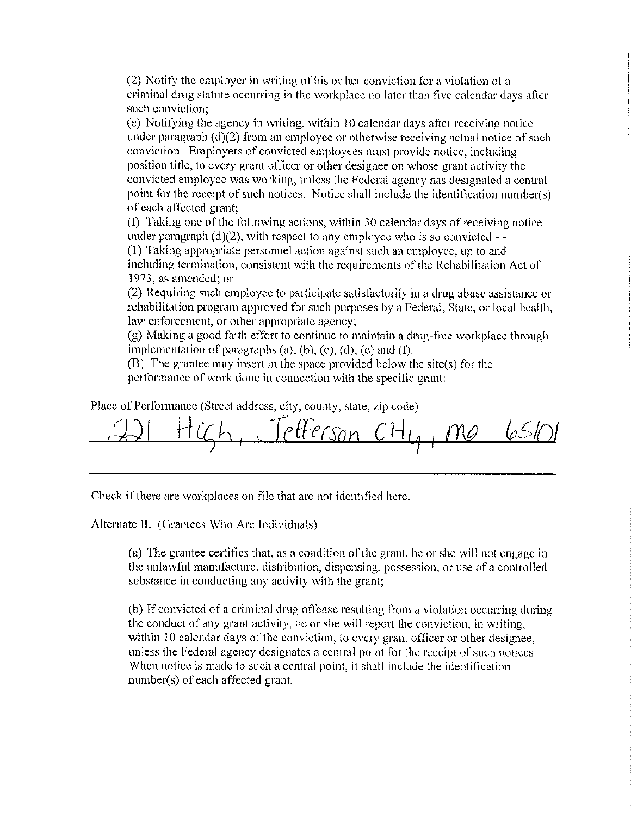(2) Notify the employer in writing of his or her conviction for a violation of a criminal drug statute occurring in the workplace no later than five calendar days after such conviction;

( e) Notifying the agency in writing, within IO calendar days after receiving notice under paragraph  $(d)(2)$  from an employee or otherwise receiving actual notice of such conviction. Employers of convicted employees must provide notice, including position title, to every grant officer or other designee on whose grant activity the convicted employee was working, unless the Federal agency has designated a central point for the receipt of such notices. Notice shall include the identification number(s) of each affected grant;

 $(1)$  Taking one of the following actions, within 30 calendar days of receiving notice under paragraph  $(d)(2)$ , with respect to any employee who is so convicted  $-\frac{1}{2}$ (I) Taking appropriate personnel action against such an employee, up to and including termination, consistent with the requirements of the Rehabilitation Act of 1973, as amended; or

(2) Requiring such employee to pmiicipate satisfactorily in a drug abuse assistance or rehabilitation program approved for such purposes by a Federal, State, or local health, law enforcement, or other appropriate agency;

(g) Making a good faith effort to continue to maintain a drug-free workplace through implementation of paragraphs (a), (b), (c), (d), (e) and (f).

(B) The grantee may insert in the space provided below the site(s) for the performance of work done in connection with the specific grant:

Place of Performance (Street address, city, county, state, zip code)

*ich*, Jefferson Cit<sub>le</sub>, me

Check if there are workplaces on file that are not identified here.

Alternate II. (Grantees Who Are Individuals)

(a) The grantee certifies that, as a condition of the grant, he or she will not engage in the unlawful manufacture, distribution, dispensing, possession, or use of a controlled substance in conducting any activity with the grant;

(b) If convicted of a criminal drug offense resulting from a violation occurring during the conduct of any grant activity, he or she will report the conviction, in writing, within 10 calendar days of the conviction, to every grant officer or other designee, unless the Federal agency designates a central point for the receipt of such notices. When notice is made to such a central point, it shall include the identification number(s) of each affected grant.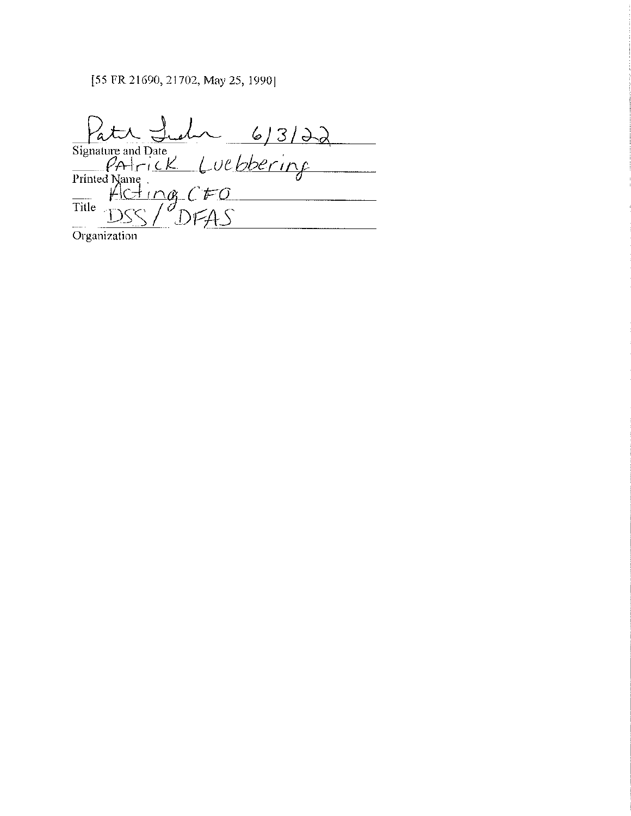### [55 FR 21690, 21702, May 25, 1990]

Patient Lieux 6/3/22  $\frac{1}{2}$  $\overline{\text{Title}}$ 

Organization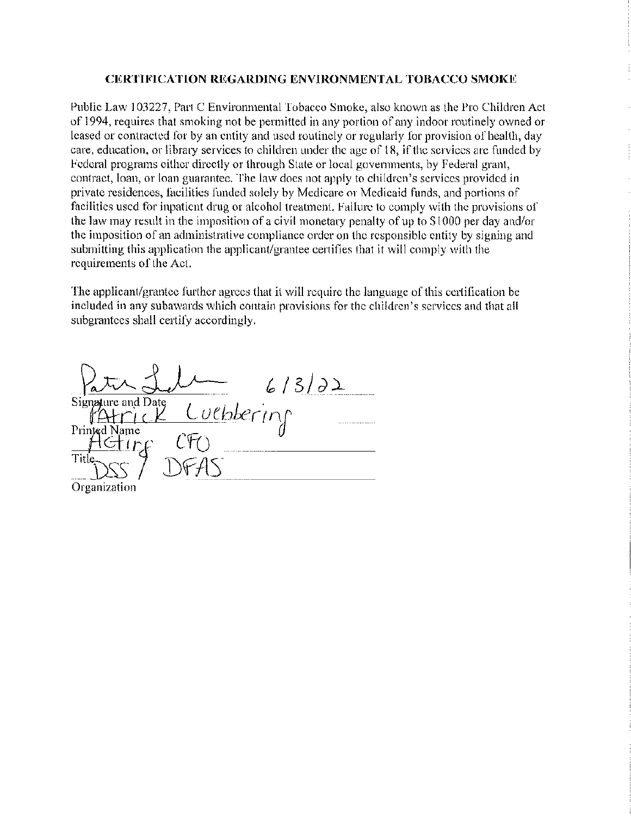#### **CERTIFICATION REGARDING ENVIRONMENTAL TOBACCO SMOKE**

Public Law 103227, Part C Environmental Tobacco Smoke, also known as the Pro Children Act of 1994, requires that smoking not be permitted in any portion of any indoor routinely owned or leased or contracted for by an entity and used routinely or regularly for provision of health, day care, education, or library services to children under the age of 18, if the services are funded by Federal programs either directly or through State or local governments, by Federal grant, contract, loan, or loan guarantee. The law does not apply to children's services provided in private residences, facilities funded solely by Medicare or Medicaid funds, and portions of facilities used for inpatient drug or alcohol treatment. Failure to comply with the provisions of the law may result in the imposition of a civil monetary penalty of up to \$1000 per day and/or the imposition of an administrative compliance order on the responsible entity by signing and submitting this application the applicant/grantee certifies that it will comply with the requirements of the Act.

The applicant/grantee further agrees that it will require the language of this certification be included in any subawards which contain provisions for the children's services and that all subgrantees shall certify accordingly.

Luebbering<br>CFO Signature and Date Printed Name Title Organization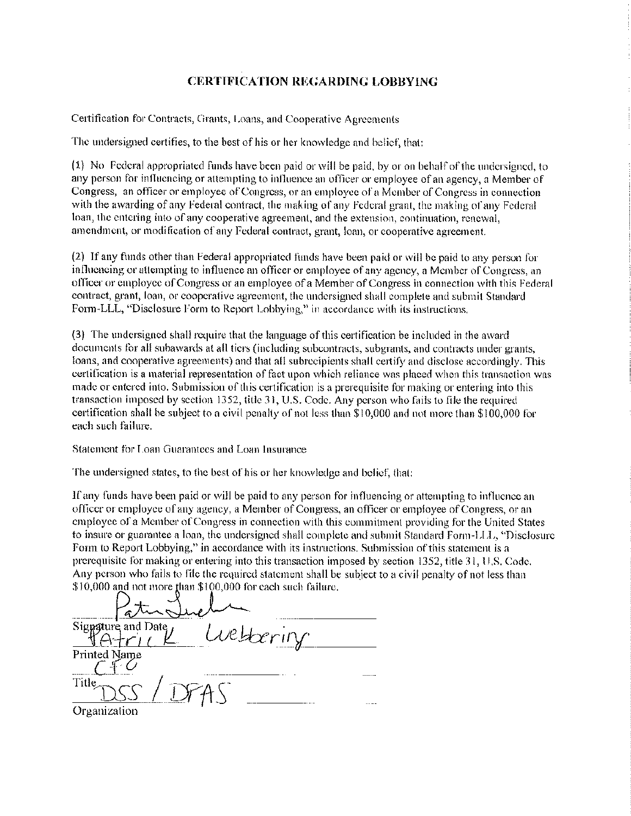#### **CERTIFICATION REGARDING LOBBYING**

Certification for Contracts, Grants, Loans, and Cooperative Agreements

The undersigned certifies, to the best of his or her knowledge and belief, that:

(1) No Federal appropriated funds have been paid or will be paid, by or on behalf of the undersigned, to any person for influencing or attempting to influence an officer or employee of an agency, a Member of Congress, an officer or employee of Congress, or an employee of a Member of Congress in connection with the awarding of any Federal contract, the making of any Federal grant, the making of any Federal loan, the entering into of any cooperative agreement, and the extension, continuation, renewal, amendment, or modification of any Federal contract, grant, loan, or cooperative agreement.

(2) If any funds other than Federal appropriated funds have been paid or will be paid to any person for influencing or attempting to influence an officer or employee of any agency, a Member of Congress, an officer or employee of Congress or an employee of a Member of Congress in connection with this Federal contract, grant, loan, or cooperative agreement, the undersigned shall complete and submit Standard Form-LLL, "Disclosure Form to Report Lobbying," in accordance with its instructions.

(3) The undersigned shall require that the language of this certification be included in the award documents for all subawards at all tiers (including subcontracts, subgrants, and contracts under grants, loans, and cooperative agreements) and that all subrecipients shall certify and disclose accordingly. This certification is a material representation of fact upon which reliance was placed when this transaction was made or entered into. Submission of this certification is a prerequisite for making or entering into this transaction imposed by section 1352, title 31, U.S. Code. Any person who fails to file the required certification shall be subject to a civil penalty of not less than \$ I 0,000 and not more than \$100,000 for each such failure.

Statement for Loan Guarantees and Loan Insurance

The undersigned states, to the best of his or her knowledge and belief, that:

If any funds have been paid or will be paid to any person for influencing or attempting to influence an officer or employee of any agency, a Member of Congress, an officer or employee of Congress, or an employee of a Member of Congress in connection with this commitment providing for the United States to insure or guarantee a loan, the undersigned shall complete and submit Standard Form-LLL, "Disclosme Form to Report Lobbying," in accordance with its instrnctions. Submission of this statement is a prerequisite for making or entering into this transaction imposed by section 1352, title 31, U.S. Code. Any person who fails to file the required statement shall be subject to a civil penalty of not less than  $$10,000$  and not more than  $$100,000$  for each such failure.

Signature and Date Welterin Printed Name Title. **Organization**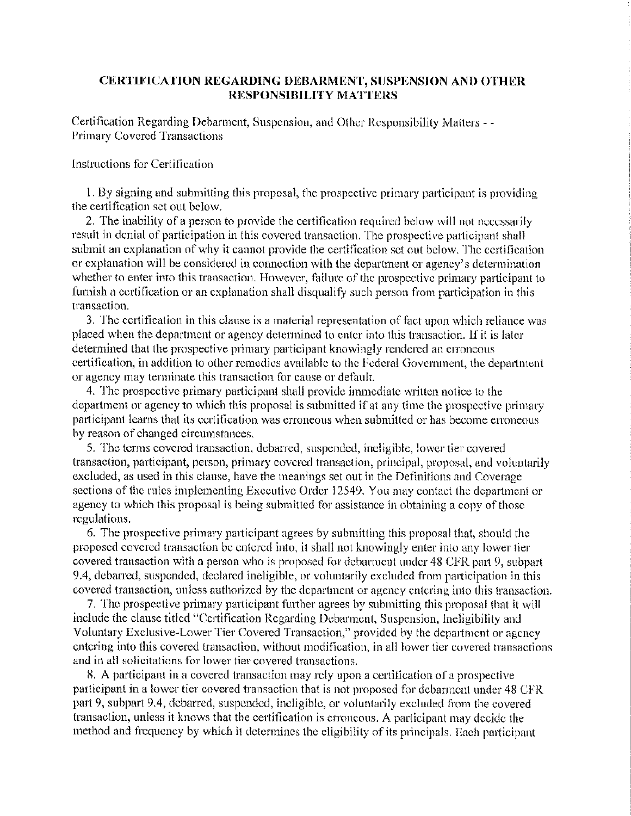#### **CERTIFICATION REGARDING DEBARMENT, SUSPENSION AND OTHER RESPONSIBILITY MATTERS**

Certification Regarding Debarment, Suspension, and Other Responsibility Matters - - Primary Covered Transactions

#### Instructions for Certification

I. By signing and submitting this proposal, the prospective primary participant is providing the certification set out below.

2. The inability of a person to provide the certification required below will not necessarily result in denial of participation in this covered transaction. The prospective participant shall submit an explanation of why it cannot provide the certification set out below. The certification or explanation will be considered in connection with the department or agency's determination whether to enter into this transaction. However, failure of the prospective primary participant to furnish a certification or an explanation shall disqualify such person from participation in this transaction.

3. The certification in this clause is a material representation of fact upon which reliance was placed when the department or agency determined to enter into this transaction. If it is later determined that the prospective primary participant knowingly rendered an erroneous certification, in addition to other remedies available to the Federal Government, the department or agency may terminate this transaction for cause or default.

4. The prospective primary participant shall provide immediate written notice to the department or agency to which this proposal is submitted if at any time the prospective primary patticipant learns that its certification was erroneous when submitted or has become erroneous by reason of changed circumstances.

5. The terms covered transaction, debarred, suspended, ineligible, lower tier covered transaction, participant, person, primary covered transaction, principal, proposal, and voluntarily excluded, as used in this clause, have the meanings set out in the Definitions and Coverage sections of the rules implementing Executive Order 12549. You may contact the department or agency to which this proposal is being submitted for assistance in obtaining a copy of those regulations.

6. The prospective primary participant agrees by submitting this proposal that, should the proposed covered transaction be entered into, it shall not knowingly enter into any lower tier covered transaction with a person who is proposed for debarment under 48 CFR part 9, subpart 9.4, debarred, suspended, declared ineligible, or voluntarily excluded from participation in this covered transaction, unless authorized by the department or agency entering into this transaction.

7. The prospective primary participant further agrees by submitting this proposal that it will include the clause titled "Certification Regarding Debarment, Suspension, Ineligibility and Voluntary Exclusive-Lower Tier Covered Transaction," provided by the department or agency entering into this covered transaction, without modification, in all lower tier covered transactions and in all solicitations for lower tier covered transactions.

8. A participant in a covered transaction may rely upon a certification of a prospective participant in a lower tier covered transaction that is not proposed for debarment under 48 CFR part 9, subpart 9.4, debarred, suspended, ineligible, or voluntarily excluded from the covered transaction, unless it knows that the certification is erroneous. A participant may decide the method and frequency by which it determines the eligibility of its principals. Each participant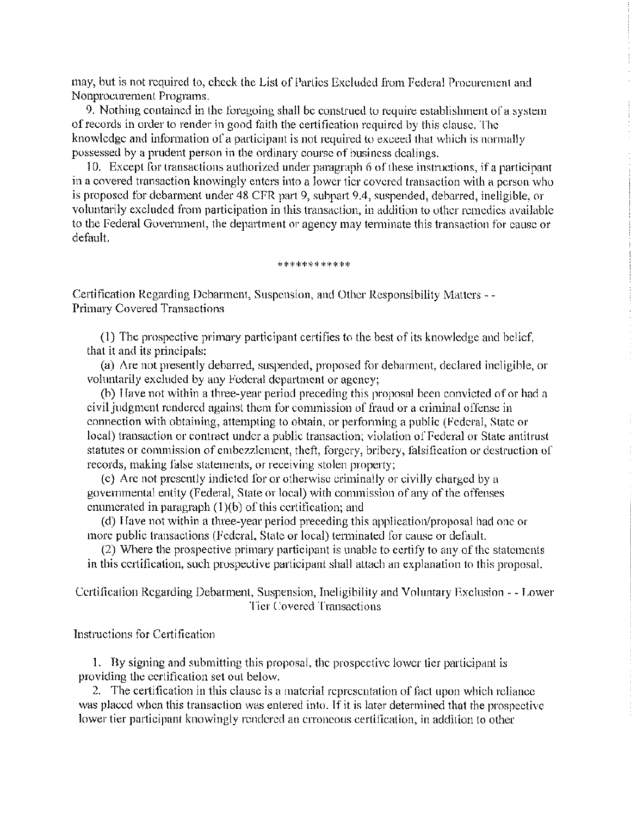may, but is not required to, check the List of Parties Excluded from Federal Procurement and Nonprocurement Programs.

9. Nothing contained in the foregoing shall be construed to require establishment of a system of records in order to render in good faith the certification required by this clause. The knowledge and information of a participant is not required to exceed that which is normally possessed by a prudent person in the ordinary course of business dealings.

I 0. Except for transactions authorized under paragraph 6 of these instructions, if a participant in a covered transaction knowingly enters into a lower tier covered transaction with a person who is proposed for debarment under 48 CFR part 9, subpart 9.4, suspended, debarred, ineligible, or voluntarily excluded from participation in this transaction, in addition to other remedies available to the Federal Government, the department or agency may terminate this transaction for cause or default.

#### \*\*\*\*\*\*\*\*\*\*\*

Certification Regarding Debarment, Suspension, and Other Responsibility Matters - - Primary Covered Transactions

(I) The prospective primary participant certifies to the best of its knowledge and belief, that it and its principals:

(a) Are not presently debarred, suspended, proposed for debarment, declared ineligible, or voluntarily excluded by any Federal department or agency;

(b) Have not within a three-year period preceding this proposal been convicted of or had a civil judgment rendered against them for commission of fraud or a criminal offense in connection with obtaining, attempting to obtain, or performing a public (Federal, State or local) transaction or contract under a public transaction; violation of Federal or State antitrust statutes or commission of embezzlement, theft, forgery, bribery, falsification or destruction of records, making false statements, or receiving stolen property;

(c) Are not presently indicted for or otherwise criminally or civilly charged by a governmental entity (Federal, State or local) with commission of any of the offenses enumerated in paragraph  $(1)(b)$  of this certification; and

( d) Have not within a three-year period preceding this application/proposal had one or more public transactions (Federal, State or local) terminated for cause or default.

(2) Where the prospective primary participant is unable to certify to any of the statements in this certification, such prospective participant shall attach an explanation to this proposal.

Certification Regarding Debarment, Suspension, Ineligibility and Voluntary Exclusion - - Lower Tier Covered Transactions

Instructions for Certification

I. By signing and submitting this proposal, the prospective lower tier participant is providing the certification set out below.

2. The certification in this clause is a material representation of fact upon which reliance was placed when this transaction was entered into. If it is later determined that the prospective lower tier participant knowingly rendered an erroneous certification, in addition to other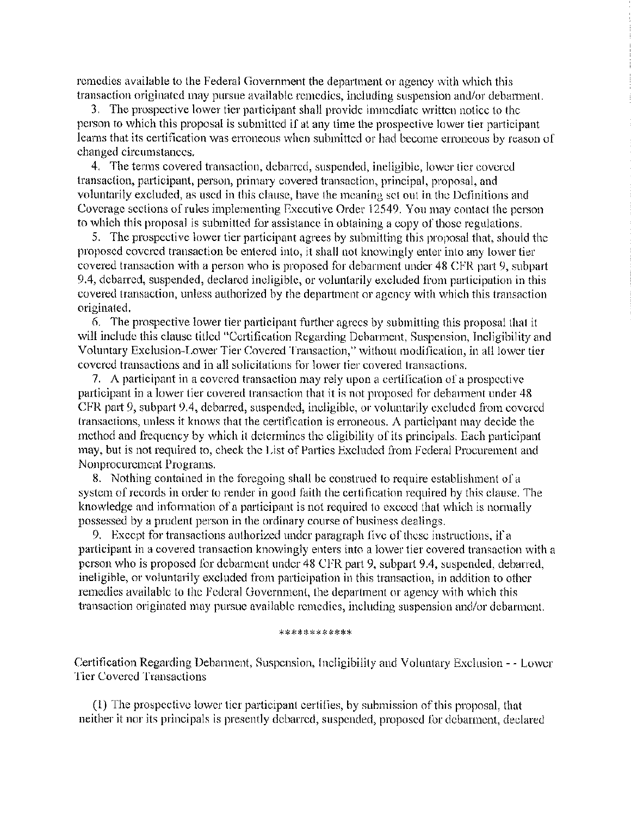remedies available to the Federal Government the department or agency with which this transaction originated may pursue available remedies, including suspension and/or debarment.

3. The prospective lower tier participant shall provide immediate written notice to the person to which this proposal is submitted if at any time the prospective lower tier participant learns that its certification was erroneous when submitted or had become erroneous by reason of changed circumstances.

4. The terms covered transaction, debarred, suspended, ineligible, lower tier covered transaction, participant, person, primary covered transaction, principal, proposal, and voluntarily excluded, as used in this clause, have the meaning set out in the Definitions and Coverage sections of rnles implementing Executive Order 12549. You may contact the person to which this proposal is submitted for assistance in obtaining a copy of those regulations.

5. The prospective lower tier participant agrees by submitting this proposal that, should the proposed covered transaction be entered into, it shall not knowingly enter into any lower tier covered transaction with a person who is proposed for debarment under 48 CFR part 9, subpart 9.4, debarred, suspended, declared ineligible, or voluntarily excluded from participation in this covered transaction, unless authorized by the department or agency with which this transaction originated.

6. The prospective lower tier participant further agrees by submitting this proposal that it will include this clause titled "Certification Regarding Debarment, Suspension, Ineligibility and Voluntary Exclusion-Lower Tier Covered Transaction," without modification, in all lower tier covered transactions and in all solicitations for lower tier covered transactions.

7. A participant in a covered transaction may rely upon a certification of a prospective participant in a lower tier covered transaction that it is not proposed for debarment under 48 CFR part 9, subpart 9.4, debarred, suspended, ineligible, or voluntarily excluded from covered transactions, unless it knows that the certification is erroneous. A participant may decide the method and frequency by which it determines the eligibility of its principals. Each participant may, but is not required to, check the List of Parties Excluded from Federal Procurement and Nonprocurement Programs.

8. Nothing contained in the foregoing shall be constrned to require establishment of a system of records in order to render in good faith the certification required by this clause. The knowledge and information of a participant is not required to exceed that which is normally possessed by a prndent person in the ordinary course of business dealings.

9. Except for transactions authorized under paragraph five of these instrnctions, if a participant in a covered transaction knowingly enters into a lower tier covered transaction with a person who is proposed for debarment under 48 CFR part 9, subpart 9.4, suspended, debarred, ineligible, or voluntarily excluded from participation in this transaction, in addition to other remedies available to the Federal Government, the department or agency with which this transaction originated may pursue available remedies, including suspension and/or debarment.

#### \*\*\*\*\*\*\*\*\*\*\*\*

Certification Regarding Debarment, Suspension, Ineligibility and Voluntary Exclusion - - Lower Tier Covered Transactions

(1) The prospective lower tier participant certifies, by submission of this proposal, that neither it nor its principals is presently debarred, suspended, proposed for debarment, declared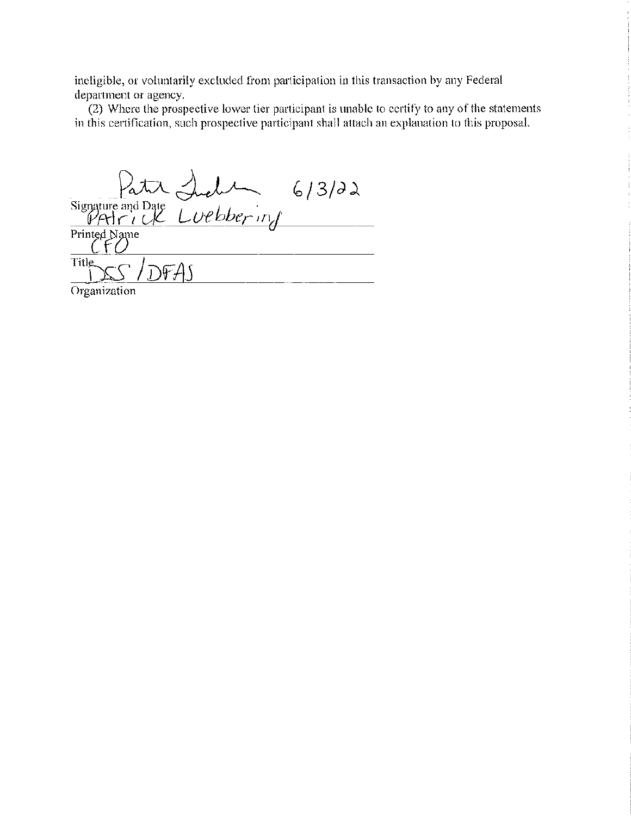incligible, or voluntarily excluded from participation in this transaction by any Federal department or agency.

 $(2)$  Where the prospective lower tier participant is unable to certify to any of the statements in this certification, such prospective participant shall attach an explanation to this proposal.

Signature and Date Luebbering 6/3/22 Printed Name Title.  $DFAN$ Organization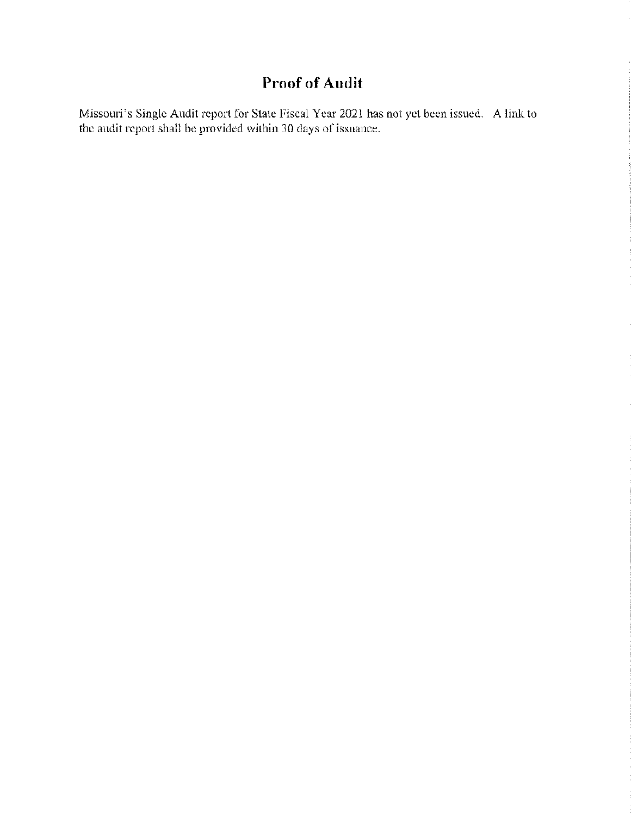## **Proof of Audit**

Missouri's Single Audit report for State Fiscal Year 2021 has not yet been issued. A link to the audit report shall be provided within 30 days of issuance.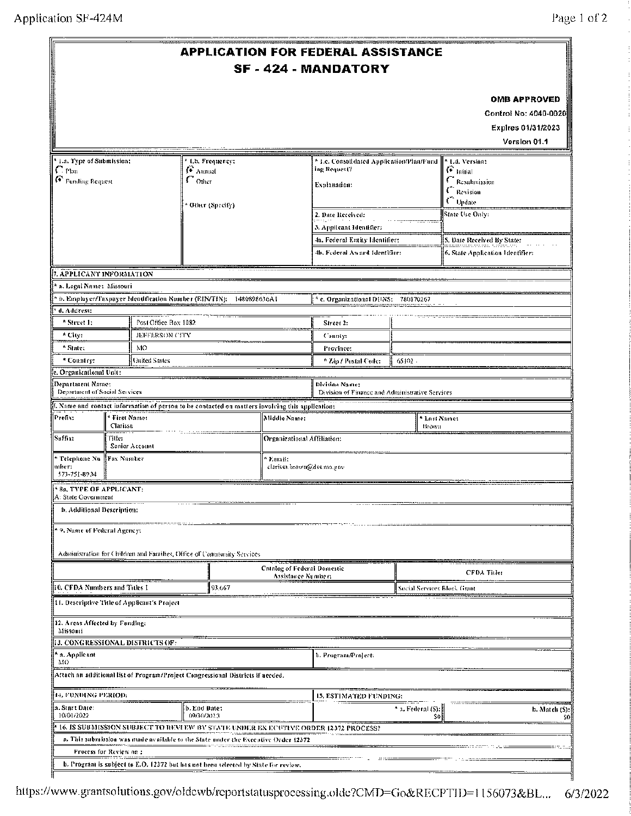| <sup>4</sup> 1.a. Type of Submission;<br><sup>*</sup> Lb. Frequency:<br>* I.e. Consolidated Application/Plan/Fund<br>* Ld. Version:<br>ing Request?<br>$G$ initial<br>$\Gamma$ Plan<br>∯ Aimud<br>G Funding Request<br>$\Gamma$ Other<br>C Resultinission<br>Explanation:<br>$\Gamma$ Revision<br>$C$ Update<br>* Otler (Spreify)<br>State Use Only:<br>2. Date Received:<br>3. Applicant Identifier:<br>5. Date Received By State:<br>4a. Federal Entity Identifier:<br>4b. Federal Award Identifier:<br>6. State Application Identifier:<br>7. APPLICANT INFORMATION<br>* a. Legai Name: Missouri<br>b. Employer/Taxpayer Identification Number (EIN/TIN): 1480898636A1<br><sup>4</sup> c, Organizational DUNS; 780370267<br>d. Address:<br>Post Office Box 1082<br><sup>9</sup> Street 1;<br>Street 2:<br>* City:<br>JEFFERSON CITY<br>County:<br>* State:<br>MO<br>Province:<br><b>United States</b><br>* Country:<br>65192.<br><sup>6</sup> Zip / Postal Code:<br>Organizational Unit:<br>Department Name:<br><b>Bivisian Name:</b><br>Department of Social Services<br>Division of Finance and Administrative Services<br>L Name and contact information of person to be contacted on matters involving this application:<br>Prefix:<br><b>First Name:</b><br>Middle Name:<br><sup>4</sup> Last Name:<br>Clarissa<br>Втоучи<br>Suffix:<br>Title:<br>Organizational Affiliation:<br>Senior Account<br>* Telepkone Nu  <br>Fax Number<br>* Email:<br>тњега<br>clarissa.brown@dss.mo.gov<br>573-751-8934<br><b>Ba, TYPE OF APPLICANT:</b><br>A: State Covernment<br>b. Additional Description:<br>* 9. Nume of Federal Agency:<br>Administration for Children and Families, Office of Community Services<br><b>Croateg of Federal Domestic</b><br><b>CFDA Title:</b><br>Assistance Number;<br>10. CFDA Numbers and Titles I<br>93.667<br>Social Services Block Grant<br>11. Descriptive Title of Applicant's Project<br>12. Areas Affected by Fanding:<br>Missouri<br>3. CONGRESSIONAL DISTRICTS OF:<br>* a. Applicaat<br>b. Program/Project:<br>MО<br>Attach an additional list of Program/Project Congressional Districts if needed.<br>14. FUNDING PERIOD:<br><b>15, ESTIMATED FUNDING:</b><br>a. Start Date:<br>b. End Date:<br>A. a. Federal (S):<br>10/01/2022<br>09/30/2023<br>sol<br>16. IS SUBMISSION SUBJECT TO REVERW BY STATE UNDER EX ECUTIVE ORDER 12372 PROCESS?<br>a. This submission was made available to the State under the Executive Order 12372 | <b>APPLICATION FOR FEDERAL ASSISTANCE</b><br><b>SF-424-MANDATORY</b> |  |  |  |  |  |  |                                                                                    |
|--------------------------------------------------------------------------------------------------------------------------------------------------------------------------------------------------------------------------------------------------------------------------------------------------------------------------------------------------------------------------------------------------------------------------------------------------------------------------------------------------------------------------------------------------------------------------------------------------------------------------------------------------------------------------------------------------------------------------------------------------------------------------------------------------------------------------------------------------------------------------------------------------------------------------------------------------------------------------------------------------------------------------------------------------------------------------------------------------------------------------------------------------------------------------------------------------------------------------------------------------------------------------------------------------------------------------------------------------------------------------------------------------------------------------------------------------------------------------------------------------------------------------------------------------------------------------------------------------------------------------------------------------------------------------------------------------------------------------------------------------------------------------------------------------------------------------------------------------------------------------------------------------------------------------------------------------------------------------------------------------------------------------------------------------------------------------------------------------------------------------------------------------------------------------------------------------------------------------------------------------------------------------------------------------------------------------------------------------------------------------------------------------------------------------------------------------------------------------|----------------------------------------------------------------------|--|--|--|--|--|--|------------------------------------------------------------------------------------|
|                                                                                                                                                                                                                                                                                                                                                                                                                                                                                                                                                                                                                                                                                                                                                                                                                                                                                                                                                                                                                                                                                                                                                                                                                                                                                                                                                                                                                                                                                                                                                                                                                                                                                                                                                                                                                                                                                                                                                                                                                                                                                                                                                                                                                                                                                                                                                                                                                                                                          |                                                                      |  |  |  |  |  |  | <b>OMB APPROVED</b><br>Control No: 4040-0020<br>Explres 01/31/2023<br>Version 01.1 |
|                                                                                                                                                                                                                                                                                                                                                                                                                                                                                                                                                                                                                                                                                                                                                                                                                                                                                                                                                                                                                                                                                                                                                                                                                                                                                                                                                                                                                                                                                                                                                                                                                                                                                                                                                                                                                                                                                                                                                                                                                                                                                                                                                                                                                                                                                                                                                                                                                                                                          |                                                                      |  |  |  |  |  |  |                                                                                    |
|                                                                                                                                                                                                                                                                                                                                                                                                                                                                                                                                                                                                                                                                                                                                                                                                                                                                                                                                                                                                                                                                                                                                                                                                                                                                                                                                                                                                                                                                                                                                                                                                                                                                                                                                                                                                                                                                                                                                                                                                                                                                                                                                                                                                                                                                                                                                                                                                                                                                          |                                                                      |  |  |  |  |  |  |                                                                                    |
|                                                                                                                                                                                                                                                                                                                                                                                                                                                                                                                                                                                                                                                                                                                                                                                                                                                                                                                                                                                                                                                                                                                                                                                                                                                                                                                                                                                                                                                                                                                                                                                                                                                                                                                                                                                                                                                                                                                                                                                                                                                                                                                                                                                                                                                                                                                                                                                                                                                                          |                                                                      |  |  |  |  |  |  |                                                                                    |
|                                                                                                                                                                                                                                                                                                                                                                                                                                                                                                                                                                                                                                                                                                                                                                                                                                                                                                                                                                                                                                                                                                                                                                                                                                                                                                                                                                                                                                                                                                                                                                                                                                                                                                                                                                                                                                                                                                                                                                                                                                                                                                                                                                                                                                                                                                                                                                                                                                                                          |                                                                      |  |  |  |  |  |  |                                                                                    |
|                                                                                                                                                                                                                                                                                                                                                                                                                                                                                                                                                                                                                                                                                                                                                                                                                                                                                                                                                                                                                                                                                                                                                                                                                                                                                                                                                                                                                                                                                                                                                                                                                                                                                                                                                                                                                                                                                                                                                                                                                                                                                                                                                                                                                                                                                                                                                                                                                                                                          |                                                                      |  |  |  |  |  |  |                                                                                    |
|                                                                                                                                                                                                                                                                                                                                                                                                                                                                                                                                                                                                                                                                                                                                                                                                                                                                                                                                                                                                                                                                                                                                                                                                                                                                                                                                                                                                                                                                                                                                                                                                                                                                                                                                                                                                                                                                                                                                                                                                                                                                                                                                                                                                                                                                                                                                                                                                                                                                          |                                                                      |  |  |  |  |  |  |                                                                                    |
|                                                                                                                                                                                                                                                                                                                                                                                                                                                                                                                                                                                                                                                                                                                                                                                                                                                                                                                                                                                                                                                                                                                                                                                                                                                                                                                                                                                                                                                                                                                                                                                                                                                                                                                                                                                                                                                                                                                                                                                                                                                                                                                                                                                                                                                                                                                                                                                                                                                                          |                                                                      |  |  |  |  |  |  |                                                                                    |
|                                                                                                                                                                                                                                                                                                                                                                                                                                                                                                                                                                                                                                                                                                                                                                                                                                                                                                                                                                                                                                                                                                                                                                                                                                                                                                                                                                                                                                                                                                                                                                                                                                                                                                                                                                                                                                                                                                                                                                                                                                                                                                                                                                                                                                                                                                                                                                                                                                                                          |                                                                      |  |  |  |  |  |  |                                                                                    |
|                                                                                                                                                                                                                                                                                                                                                                                                                                                                                                                                                                                                                                                                                                                                                                                                                                                                                                                                                                                                                                                                                                                                                                                                                                                                                                                                                                                                                                                                                                                                                                                                                                                                                                                                                                                                                                                                                                                                                                                                                                                                                                                                                                                                                                                                                                                                                                                                                                                                          |                                                                      |  |  |  |  |  |  |                                                                                    |
|                                                                                                                                                                                                                                                                                                                                                                                                                                                                                                                                                                                                                                                                                                                                                                                                                                                                                                                                                                                                                                                                                                                                                                                                                                                                                                                                                                                                                                                                                                                                                                                                                                                                                                                                                                                                                                                                                                                                                                                                                                                                                                                                                                                                                                                                                                                                                                                                                                                                          |                                                                      |  |  |  |  |  |  |                                                                                    |
|                                                                                                                                                                                                                                                                                                                                                                                                                                                                                                                                                                                                                                                                                                                                                                                                                                                                                                                                                                                                                                                                                                                                                                                                                                                                                                                                                                                                                                                                                                                                                                                                                                                                                                                                                                                                                                                                                                                                                                                                                                                                                                                                                                                                                                                                                                                                                                                                                                                                          |                                                                      |  |  |  |  |  |  |                                                                                    |
|                                                                                                                                                                                                                                                                                                                                                                                                                                                                                                                                                                                                                                                                                                                                                                                                                                                                                                                                                                                                                                                                                                                                                                                                                                                                                                                                                                                                                                                                                                                                                                                                                                                                                                                                                                                                                                                                                                                                                                                                                                                                                                                                                                                                                                                                                                                                                                                                                                                                          |                                                                      |  |  |  |  |  |  |                                                                                    |
|                                                                                                                                                                                                                                                                                                                                                                                                                                                                                                                                                                                                                                                                                                                                                                                                                                                                                                                                                                                                                                                                                                                                                                                                                                                                                                                                                                                                                                                                                                                                                                                                                                                                                                                                                                                                                                                                                                                                                                                                                                                                                                                                                                                                                                                                                                                                                                                                                                                                          |                                                                      |  |  |  |  |  |  |                                                                                    |
|                                                                                                                                                                                                                                                                                                                                                                                                                                                                                                                                                                                                                                                                                                                                                                                                                                                                                                                                                                                                                                                                                                                                                                                                                                                                                                                                                                                                                                                                                                                                                                                                                                                                                                                                                                                                                                                                                                                                                                                                                                                                                                                                                                                                                                                                                                                                                                                                                                                                          |                                                                      |  |  |  |  |  |  |                                                                                    |
|                                                                                                                                                                                                                                                                                                                                                                                                                                                                                                                                                                                                                                                                                                                                                                                                                                                                                                                                                                                                                                                                                                                                                                                                                                                                                                                                                                                                                                                                                                                                                                                                                                                                                                                                                                                                                                                                                                                                                                                                                                                                                                                                                                                                                                                                                                                                                                                                                                                                          |                                                                      |  |  |  |  |  |  |                                                                                    |
|                                                                                                                                                                                                                                                                                                                                                                                                                                                                                                                                                                                                                                                                                                                                                                                                                                                                                                                                                                                                                                                                                                                                                                                                                                                                                                                                                                                                                                                                                                                                                                                                                                                                                                                                                                                                                                                                                                                                                                                                                                                                                                                                                                                                                                                                                                                                                                                                                                                                          |                                                                      |  |  |  |  |  |  |                                                                                    |
|                                                                                                                                                                                                                                                                                                                                                                                                                                                                                                                                                                                                                                                                                                                                                                                                                                                                                                                                                                                                                                                                                                                                                                                                                                                                                                                                                                                                                                                                                                                                                                                                                                                                                                                                                                                                                                                                                                                                                                                                                                                                                                                                                                                                                                                                                                                                                                                                                                                                          |                                                                      |  |  |  |  |  |  | b. Match (S):<br>S0.                                                               |
| Process for Review on:<br>b. Program is subject to E.O. 12372 but has not been selected by State for review.                                                                                                                                                                                                                                                                                                                                                                                                                                                                                                                                                                                                                                                                                                                                                                                                                                                                                                                                                                                                                                                                                                                                                                                                                                                                                                                                                                                                                                                                                                                                                                                                                                                                                                                                                                                                                                                                                                                                                                                                                                                                                                                                                                                                                                                                                                                                                             |                                                                      |  |  |  |  |  |  |                                                                                    |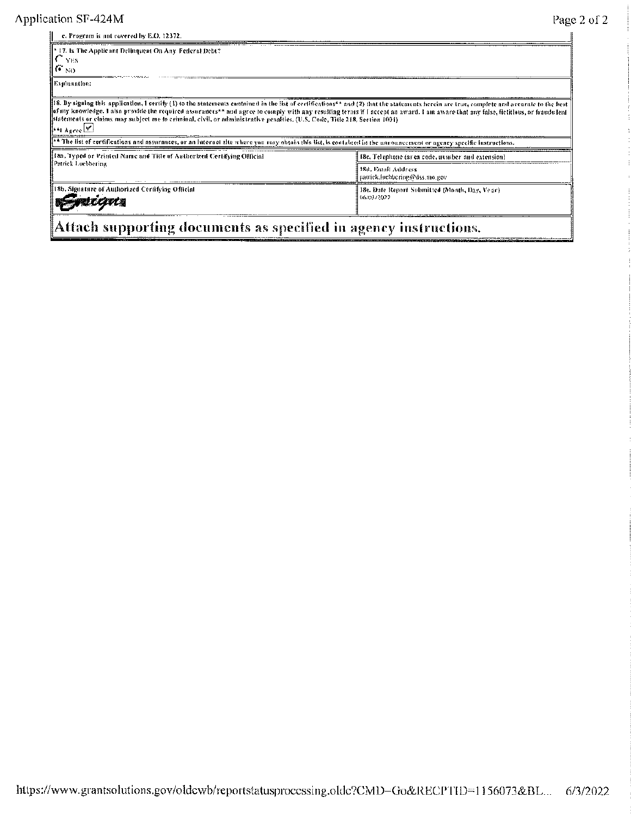$\mathbf{H}$ 

| c. Program is not covered by E.O. 12372,                                                                                                                                                                                                                                                                                                                                                                                                                                                                                                                 |                                                              |
|----------------------------------------------------------------------------------------------------------------------------------------------------------------------------------------------------------------------------------------------------------------------------------------------------------------------------------------------------------------------------------------------------------------------------------------------------------------------------------------------------------------------------------------------------------|--------------------------------------------------------------|
| 17. Is The Applicant Delinquent On Any Federal Debt?<br>YES.<br>$F_{\text{NO}}$                                                                                                                                                                                                                                                                                                                                                                                                                                                                          |                                                              |
| Explanation:                                                                                                                                                                                                                                                                                                                                                                                                                                                                                                                                             |                                                              |
| [18, By signing this application, 1 certify (1) to the statements enotained in the list of certifications** and (2) that the statements herein are true, complete and accurate to the hest<br>of my knowledge. I also provide the required assurances** and agree to comply with any resulting terms if I accept an award. I am aware that any false, fictitious, or franch leat<br>[statements or cluints may subject me to criminal, civil, or administrative penatties, (U.S. Code, Title 218, Section 1001)<br>$[44]$ Agree $\vert \mathbf{x} \vert$ |                                                              |
| ** The list of certifications and assurances, or an internet site where you may obtain this list, is contained in the nanouncement or agency specific instructions.                                                                                                                                                                                                                                                                                                                                                                                      |                                                              |
| 18a. Typed or Printed Name and Title of Authorized Certifying Official                                                                                                                                                                                                                                                                                                                                                                                                                                                                                   | 18c. Telephone (area code, number and extension)             |
| Patrick Lucbbering                                                                                                                                                                                                                                                                                                                                                                                                                                                                                                                                       | <b>18d. Email Address</b><br>patrick.hicbbcring@dss.mo.gov   |
| 18b. Signature of Authorized Certifying Official                                                                                                                                                                                                                                                                                                                                                                                                                                                                                                         | 18e. Date Report Submitted (Month, Day, Year).<br>06/03/2022 |
|                                                                                                                                                                                                                                                                                                                                                                                                                                                                                                                                                          |                                                              |

Attach supporting documents as specified in agency instructions.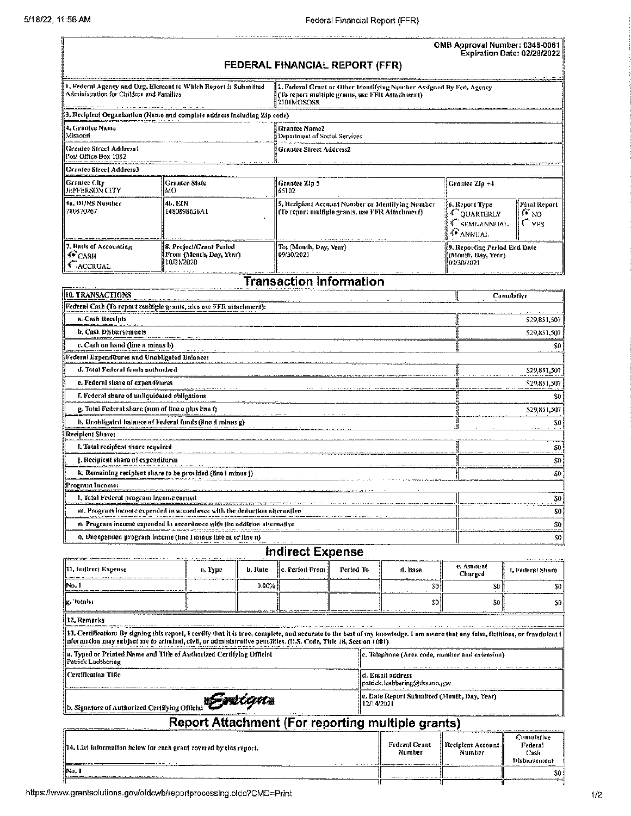|                                                          |                                                                          |                                                                                                                                        | OMB Approval Number: 0348-0061<br><b>Expiration Date: 02/28/2022</b>          |                                     |  |
|----------------------------------------------------------|--------------------------------------------------------------------------|----------------------------------------------------------------------------------------------------------------------------------------|-------------------------------------------------------------------------------|-------------------------------------|--|
|                                                          |                                                                          | FEDERAL FINANCIAL REPORT (FFR)                                                                                                         |                                                                               |                                     |  |
| Administration for Children and Families                 | 1. Federal Agency and Org. Element to Which Report is Submitted          | [2. Federal Grant or Other Identifying Number Assigned By Fed, Agency<br>(To report multiple grants, use FFR Attachment)<br>2101MOSOSR |                                                                               |                                     |  |
|                                                          | 3. Recipient Organization (Name and complete address including Zip code) |                                                                                                                                        |                                                                               |                                     |  |
| 14. Grantee Name<br>l Missouri                           |                                                                          | i Grantee Name2<br>Department of Social Services                                                                                       |                                                                               |                                     |  |
| Graatee Street Address1<br>Post Office Box 1082          | <b>Grantee Street Address2</b>                                           |                                                                                                                                        |                                                                               |                                     |  |
| Grantee Street Address3                                  |                                                                          |                                                                                                                                        |                                                                               |                                     |  |
| l Grantee City<br><b>JEFFERSON CITY</b>                  | Grantee Slate<br>MО                                                      | <b>Grantee Zin 5</b><br>65102                                                                                                          | Grantee Zlp +4                                                                |                                     |  |
| l 4a. DUNS Number<br>780870267                           | 14b. EIN<br>1480898636AI                                                 | 5. Recipient Account Number or Identifying Number<br>(To report multiple grants, use FFR Attachment)                                   | 6. Report Type<br><b>COUARTERLY</b><br><sup>4</sup> SEMI-ANNUAL<br>∮® ANNUAL. | Pinal Report<br>$\odot$ NO<br>∫`yes |  |
| 7. Basis of Accounting<br><b>CASH</b><br><b>CACCRUAL</b> | 8. Project/Grant Period<br>From (Month, Day, Year)<br>10/01/2020         | To: (Month, Day, Year)<br>09/30/2021                                                                                                   | 39. Reporting Period End Date<br>(Month, Day, Year)<br>109/30/2021            |                                     |  |

## **Transaction Information**

| 10. TRANSACTIONS                                                        | Comulative   |
|-------------------------------------------------------------------------|--------------|
| Federal Cash (To repart multiple grants, also use FFR attachment):      |              |
| a. Cash Receipts                                                        | \$29,851,507 |
| h. Cash Disbursements                                                   | \$29,851,507 |
| c, Cash on hand (line a minus b)                                        |              |
| ederal Expenditures and Unabligated Balance:                            |              |
| d, Total Federal funds authorized                                       | \$29,851,507 |
| e. Federal share of expenditures                                        | \$29,851,507 |
| f. Federal share of unliquidated obligations                            |              |
| g. Total Federal share (sum of line e plus line f)                      | \$29,851,507 |
| h, Unobligated balance of Federal funds (fine d minus g)                | SO.          |
| Recipient Share:                                                        |              |
| L Total recipient share required                                        | S0           |
| . Recipient share of expenditures                                       | \$0          |
| k. Remaining recipient share to be provided (line i minus j)            | SO:          |
| Program Income:                                                         |              |
| l, Tofal Federal program Income earned                                  | 20           |
| m. Program income expended in accordance with the deduction alternative | SO.          |
| n. Program income expended in accordance with the addition alternative  | S0           |
| o. Unexpended program income (line I minus line m or line n)            | S0           |

## **Indirect Expense**

| [11, Indirect Expense]                                                                                                                                                                                                                                                                              | a, Type | b. Rate | c. Period From | Period To | d. Base                                                    | e. Amount<br>Charged        | L Federal Share                               |  |
|-----------------------------------------------------------------------------------------------------------------------------------------------------------------------------------------------------------------------------------------------------------------------------------------------------|---------|---------|----------------|-----------|------------------------------------------------------------|-----------------------------|-----------------------------------------------|--|
| lNo. 1                                                                                                                                                                                                                                                                                              |         | 0.00%   |                |           |                                                            | SO I<br>S0                  | SO.                                           |  |
| ¦ig. Totals:                                                                                                                                                                                                                                                                                        |         |         |                |           |                                                            | SO.<br>S0                   | S0                                            |  |
| 12. Remarks                                                                                                                                                                                                                                                                                         |         |         |                |           |                                                            |                             |                                               |  |
| HJ, Certification: By signing this report, E certify that it is true, complete, and accurate to the best of my knowledge. I am aware that ony foise, fictitious, or frandwicat i<br>nformation may subject me to criminal, civil, or administrative penalities, (U,S, Code, Title 18, Section 1601) |         |         |                |           |                                                            |                             |                                               |  |
| a, Typed or Printed Name and Title of Authorized Certifying Official:<br>Patrick Lucbbering                                                                                                                                                                                                         |         |         |                |           | c. Telephone (Area code, number and extension)             |                             |                                               |  |
| Certification Title                                                                                                                                                                                                                                                                                 |         |         |                |           | ld. Entait address<br> patrick.luebbering@dss.mo.gov       |                             |                                               |  |
| b. Signature of Authorized Certifying Official Contract of the Second Legal                                                                                                                                                                                                                         |         |         |                |           | [c. Date Report Submitted (Month, Day, Year)<br>12/14/2021 |                             |                                               |  |
|                                                                                                                                                                                                                                                                                                     |         |         |                |           | <b>Report Attachment (For reporting multiple grants)</b>   |                             |                                               |  |
| 14. List Information below for each grant covered by this report.                                                                                                                                                                                                                                   |         |         |                |           | <b>Federal Grant</b><br>Number                             | Recipient Account<br>Number | Cumulative<br>Federal<br>Cash<br>Disbarsement |  |
| ‼No. I                                                                                                                                                                                                                                                                                              |         |         |                |           |                                                            |                             | 50                                            |  |

 $50$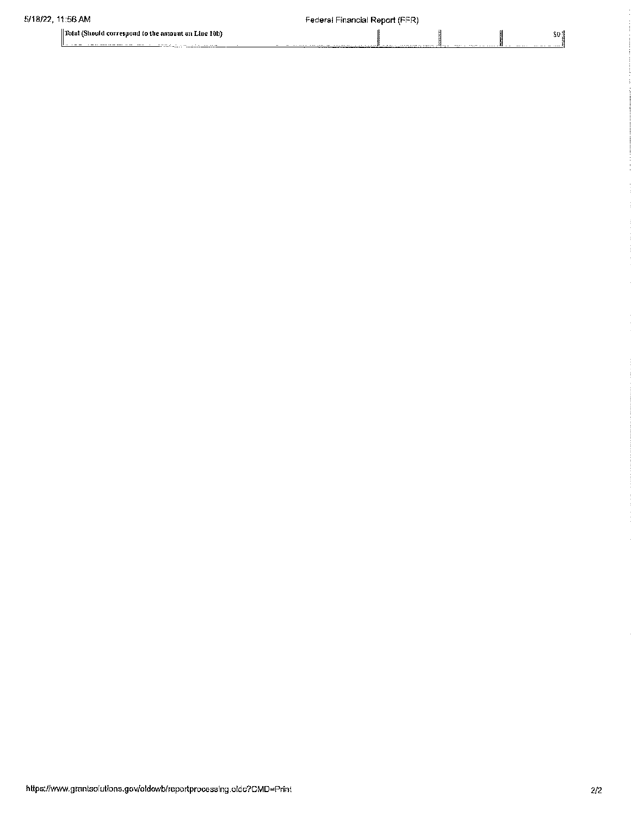$\parallel$  Total (Should correspond to the amount on Line 10b)

<u> American de Carlos Com</u>

#### Federal Financial Report (FFR)

ij

 $\mathsf{SO}_3^3$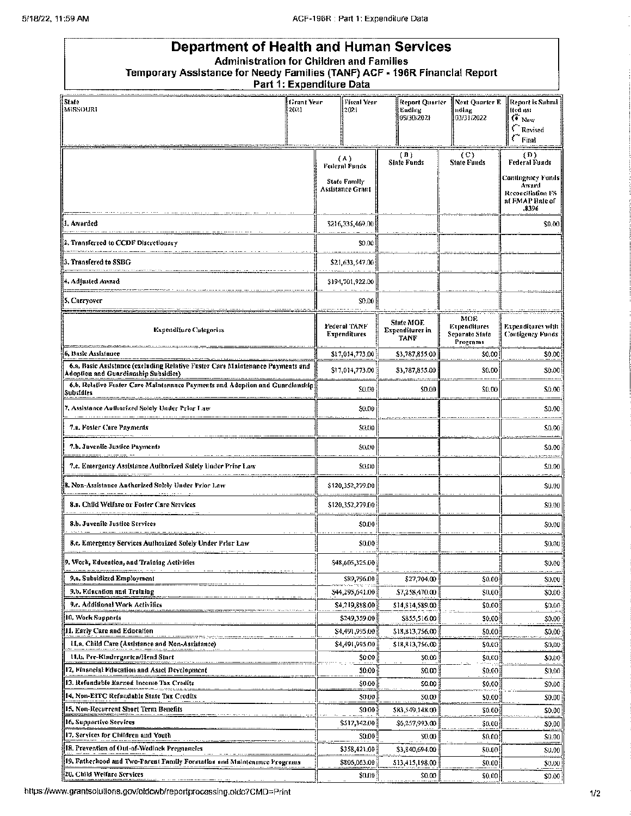| Department of Health and Human Services<br><b>Administration for Children and Families</b><br>Temporary Assistance for Needy Families (TANF) ACF - 196R Financial Report | Part 1: Expenditure Data                                 |                                        |                                                   |                                                                                                     |  |
|--------------------------------------------------------------------------------------------------------------------------------------------------------------------------|----------------------------------------------------------|----------------------------------------|---------------------------------------------------|-----------------------------------------------------------------------------------------------------|--|
| State<br>Grant Year<br>MISSOURI<br>2021                                                                                                                                  | <b>Fiscal Year</b><br>12021                              | Report Quarter<br>Ending<br>09/30/2021 | Next Ouarter R<br>nding<br>03/31/2022             | Report is Submi<br>ited as:<br>$\ddot{\bullet}$ New<br>Revised<br>$\subset$ Final                   |  |
|                                                                                                                                                                          | (۸)                                                      | (A)                                    | (C)                                               | (D)                                                                                                 |  |
|                                                                                                                                                                          | Federal Funds<br><b>State Family</b><br>Assistance Grant | <b>Sinfe Funds</b>                     | <b>State Funds</b>                                | <b>Federal Funds</b><br>Cantingency Funds<br>Award<br>Reconciliation FS<br>at FMAP Rate of<br>,8396 |  |
| 1. Awarded                                                                                                                                                               | \$216,335,469.00                                         |                                        |                                                   | \$0.08                                                                                              |  |
| 2. Transferred to CCDF Discretionary                                                                                                                                     | \$0.00                                                   |                                        |                                                   |                                                                                                     |  |
| 3. Transfered to SSBG                                                                                                                                                    | \$21,633,547.00                                          |                                        |                                                   |                                                                                                     |  |
| 4. Adjusted Award                                                                                                                                                        | \$194,701,922.00                                         |                                        |                                                   |                                                                                                     |  |
|                                                                                                                                                                          | \$0.00                                                   |                                        |                                                   |                                                                                                     |  |
| 5. Carryover                                                                                                                                                             |                                                          |                                        |                                                   |                                                                                                     |  |
| <b>Expenditure Categories</b>                                                                                                                                            | Federal TANF<br>Expenditures                             | State MOE<br>Expenditures in<br>TANF   | MOE<br>Expenditures<br>Separate State<br>Pregrams | Expenditures with<br>Configency Funds                                                               |  |
| 6. Basic Assistance                                                                                                                                                      | \$17,014,773.00                                          | \$3,787,855.00                         | 50.00                                             | \$0.00                                                                                              |  |
| 6.a, Basic Assistance (excluding Relative Fuster Care Maintenance Payments and<br>Adoption and Guardianship Subsidies)                                                   | \$17,014,773.00                                          | \$3,787,855.00                         | \$0.00                                            | \$0.00                                                                                              |  |
| 6.b. Relative Foster Care Maintenance Payments and Adoption and Guardianship<br>Subsidies                                                                                | \$0.00                                                   | \$0.00                                 | \$0.00                                            | \$0.00                                                                                              |  |
| 7, Assistance Authorized Solcly Under Prior Law                                                                                                                          | \$0.00                                                   |                                        |                                                   | \$0.00                                                                                              |  |
| 7.n. Foster Care Payments                                                                                                                                                | 50.00                                                    |                                        |                                                   | \$0.00                                                                                              |  |
| 7.b. Juveniie Justice Payments                                                                                                                                           | 50.00                                                    |                                        |                                                   | \$0.00                                                                                              |  |
| 7.c. Emergency Assistance Authorized Salely Under Prior Law                                                                                                              | \$0,00                                                   |                                        |                                                   | \$0.00                                                                                              |  |
| 8. Non-Assistance Authorized Solely Under Prior Law                                                                                                                      | \$120,352,279.00                                         |                                        |                                                   | \$0.00                                                                                              |  |
| 8.a. Child Welfare or Foster Care Services                                                                                                                               | \$120,352,279.00                                         |                                        |                                                   | \$0.00                                                                                              |  |
| 8.b. Juvenile Justice Services                                                                                                                                           | \$0.00                                                   |                                        |                                                   | \$0.00                                                                                              |  |
|                                                                                                                                                                          |                                                          |                                        |                                                   |                                                                                                     |  |
| 8.c. Emergency Services Authorized Solely Under Prior Law                                                                                                                | \$0.00                                                   |                                        |                                                   | \$0.00                                                                                              |  |
| 9. Work, Eduention, and Training Activities                                                                                                                              | \$48,605,325.00}                                         |                                        |                                                   | \$0.00                                                                                              |  |
| 9,a, Subsidized Employment                                                                                                                                               | \$89,796.00 }                                            | \$27,704.00                            | \$0.00                                            | \$0.00                                                                                              |  |
| 9.b. Education and Training                                                                                                                                              | \$44,295,641.00\$                                        | \$7,258,470.00 [                       | \$0.00                                            | \$0.00                                                                                              |  |
| 9.c. Additional Work Activilies                                                                                                                                          | S4,219,888.00 j                                          | \$14,814,589.00                        | \$0.00}                                           | \$0.00                                                                                              |  |
| 10, Werk Supports                                                                                                                                                        | \$249,359.00                                             | \$855,516.00                           | \$0.00                                            | \$0.00                                                                                              |  |
| 11. Esrly Care and Education                                                                                                                                             | S4,491,995,00                                            | \$18,813,756.00                        | \$0.00}                                           | \$0.00                                                                                              |  |
| H.a. Child Care (Assistance and Non-Assistance)                                                                                                                          | \$4,491,995.00                                           | \$18,813,756.00                        | \$0.003                                           | \$0.00                                                                                              |  |
| 11.b. Pre-Kindergarten/Head Start                                                                                                                                        | \$0.00                                                   | \$0.00                                 | \$0,00                                            | \$0.00                                                                                              |  |
| 12, Financial Education and Assel Development                                                                                                                            | \$0.00                                                   | \$0.00                                 | \$0.00}                                           | \$0,00                                                                                              |  |
| 13. Refundsble Earned Income Tax Credits                                                                                                                                 | \$0.00                                                   | 50.00                                  | \$0.00                                            | \$0.00                                                                                              |  |
| 14, Non-EITC Refundable Sinte Tax Credits                                                                                                                                | \$0.00                                                   | 50.00                                  | \$0.00                                            | \$0.00                                                                                              |  |
| 15. Non-Recurrent Short Term Benefits                                                                                                                                    | \$0.00                                                   | \$83,549,148.00                        | 50.00;                                            | \$0.00                                                                                              |  |
| 16. Supportive Services                                                                                                                                                  | \$517,342,00                                             | \$6,257,993.00                         | \$0.00                                            | \$0.00                                                                                              |  |
| 17, Services for Children and Youth                                                                                                                                      | \$0.00                                                   | \$0.00                                 | \$0.00 }                                          | \$9.00                                                                                              |  |
| 18. Prevention of Out-of-Wedlock Pregnancies                                                                                                                             | \$358,421.00                                             | \$3,840,694.00                         | \$0.00                                            | SU.00                                                                                               |  |
| 19. Fatherhood and Two-Parent Family Formation and Maintenance Programs                                                                                                  | \$806,063.00                                             | \$13,415,198.00                        | \$0.00                                            | \$0.00                                                                                              |  |
| 20. Child Welfare Services                                                                                                                                               | \$0,00                                                   | \$0.00                                 | \$0.00                                            | \$0.00                                                                                              |  |
|                                                                                                                                                                          |                                                          |                                        |                                                   |                                                                                                     |  |

https://www.grantsolutions.gov/oldcwb/reportprocessing.oldc?CMD=Print